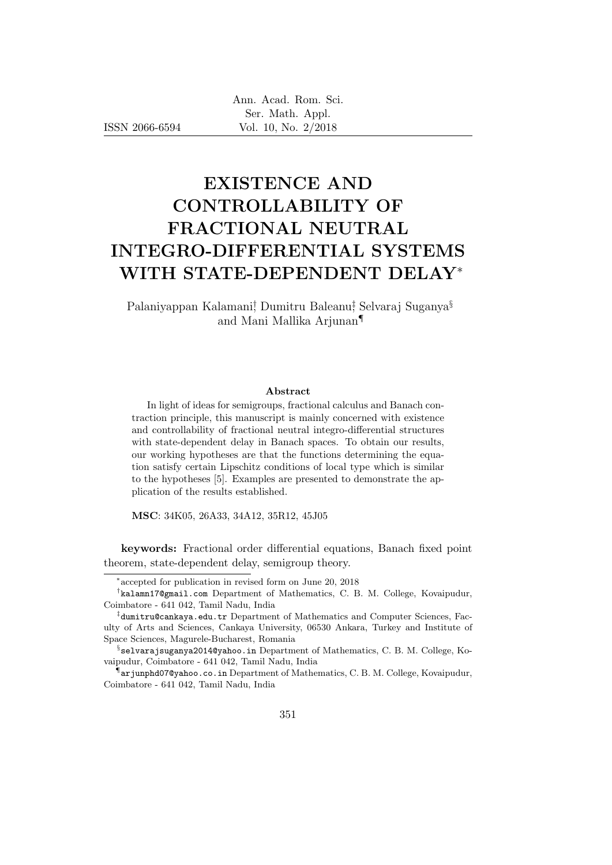ISSN 2066-6594

# EXISTENCE AND CONTROLLABILITY OF FRACTIONAL NEUTRAL INTEGRO-DIFFERENTIAL SYSTEMS WITH STATE-DEPENDENT DELAY<sup>∗</sup>

Palaniyappan Kalamani<sup>†</sup> Dumitru Baleanu<sup>‡</sup> Selvaraj Suganya<sup>§</sup> and Mani Mallika Arjunan¶

#### Abstract

In light of ideas for semigroups, fractional calculus and Banach contraction principle, this manuscript is mainly concerned with existence and controllability of fractional neutral integro-differential structures with state-dependent delay in Banach spaces. To obtain our results, our working hypotheses are that the functions determining the equation satisfy certain Lipschitz conditions of local type which is similar to the hypotheses [5]. Examples are presented to demonstrate the application of the results established.

MSC: 34K05, 26A33, 34A12, 35R12, 45J05

keywords: Fractional order differential equations, Banach fixed point theorem, state-dependent delay, semigroup theory.

<sup>∗</sup> accepted for publication in revised form on June 20, 2018

<sup>†</sup> kalamn17@gmail.com Department of Mathematics, C. B. M. College, Kovaipudur, Coimbatore - 641 042, Tamil Nadu, India

<sup>‡</sup> dumitru@cankaya.edu.tr Department of Mathematics and Computer Sciences, Faculty of Arts and Sciences, Cankaya University, 06530 Ankara, Turkey and Institute of Space Sciences, Magurele-Bucharest, Romania

 $\S$ selvarajsuganya2014@yahoo.in Department of Mathematics, C. B. M. College, Kovaipudur, Coimbatore - 641 042, Tamil Nadu, India

<sup>¶</sup> arjunphd07@yahoo.co.in Department of Mathematics, C. B. M. College, Kovaipudur, Coimbatore - 641 042, Tamil Nadu, India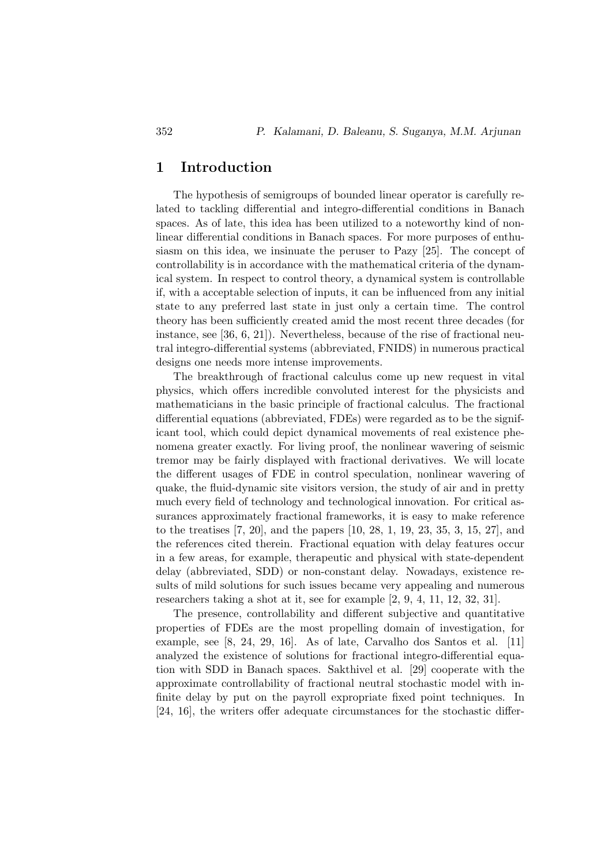# 1 Introduction

The hypothesis of semigroups of bounded linear operator is carefully related to tackling differential and integro-differential conditions in Banach spaces. As of late, this idea has been utilized to a noteworthy kind of nonlinear differential conditions in Banach spaces. For more purposes of enthusiasm on this idea, we insinuate the peruser to Pazy [25]. The concept of controllability is in accordance with the mathematical criteria of the dynamical system. In respect to control theory, a dynamical system is controllable if, with a acceptable selection of inputs, it can be influenced from any initial state to any preferred last state in just only a certain time. The control theory has been sufficiently created amid the most recent three decades (for instance, see [36, 6, 21]). Nevertheless, because of the rise of fractional neutral integro-differential systems (abbreviated, FNIDS) in numerous practical designs one needs more intense improvements.

The breakthrough of fractional calculus come up new request in vital physics, which offers incredible convoluted interest for the physicists and mathematicians in the basic principle of fractional calculus. The fractional differential equations (abbreviated, FDEs) were regarded as to be the significant tool, which could depict dynamical movements of real existence phenomena greater exactly. For living proof, the nonlinear wavering of seismic tremor may be fairly displayed with fractional derivatives. We will locate the different usages of FDE in control speculation, nonlinear wavering of quake, the fluid-dynamic site visitors version, the study of air and in pretty much every field of technology and technological innovation. For critical assurances approximately fractional frameworks, it is easy to make reference to the treatises [7, 20], and the papers [10, 28, 1, 19, 23, 35, 3, 15, 27], and the references cited therein. Fractional equation with delay features occur in a few areas, for example, therapeutic and physical with state-dependent delay (abbreviated, SDD) or non-constant delay. Nowadays, existence results of mild solutions for such issues became very appealing and numerous researchers taking a shot at it, see for example [2, 9, 4, 11, 12, 32, 31].

The presence, controllability and different subjective and quantitative properties of FDEs are the most propelling domain of investigation, for example, see [8, 24, 29, 16]. As of late, Carvalho dos Santos et al. [11] analyzed the existence of solutions for fractional integro-differential equation with SDD in Banach spaces. Sakthivel et al. [29] cooperate with the approximate controllability of fractional neutral stochastic model with infinite delay by put on the payroll expropriate fixed point techniques. In [24, 16], the writers offer adequate circumstances for the stochastic differ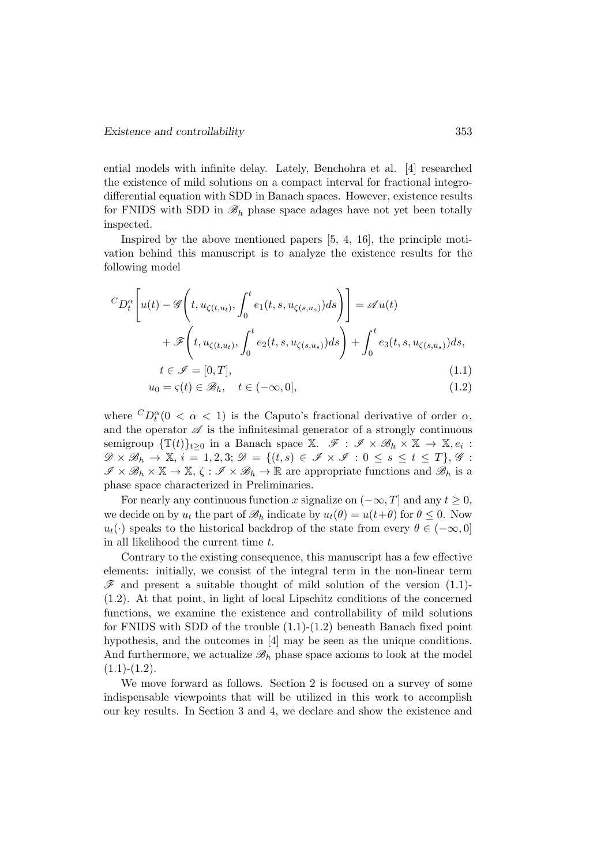ential models with infinite delay. Lately, Benchohra et al. [4] researched the existence of mild solutions on a compact interval for fractional integrodifferential equation with SDD in Banach spaces. However, existence results for FNIDS with SDD in  $\mathscr{B}_h$  phase space adages have not yet been totally inspected.

Inspired by the above mentioned papers [5, 4, 16], the principle motivation behind this manuscript is to analyze the existence results for the following model

$$
{}^{C}D_{t}^{\alpha}\left[u(t)-\mathscr{G}\left(t,u_{\zeta(t,u_{t})},\int_{0}^{t}e_{1}(t,s,u_{\zeta(s,u_{s})})ds\right)\right]=\mathscr{A}u(t)
$$

$$
+\mathscr{F}\left(t,u_{\zeta(t,u_{t})},\int_{0}^{t}e_{2}(t,s,u_{\zeta(s,u_{s})})ds\right)+\int_{0}^{t}e_{3}(t,s,u_{\zeta(s,u_{s})})ds,
$$

$$
t\in\mathscr{I}=[0,T],
$$
\n(1.1)

$$
u_0 = \zeta(t) \in \mathcal{B}_h, \quad t \in (-\infty, 0], \tag{1.2}
$$

where  ${}^{C}D_t^{\alpha}$  (0 <  $\alpha$  < 1) is the Caputo's fractional derivative of order  $\alpha$ , and the operator  $\mathscr A$  is the infinitesimal generator of a strongly continuous semigroup  $\{\mathbb{T}(t)\}_{t\geq 0}$  in a Banach space X.  $\mathscr{F}: \mathscr{I} \times \mathscr{B}_h \times \mathbb{X} \to \mathbb{X}, e_i$ :  $\mathscr{D} \times \mathscr{B}_h \to \mathbb{X}, i = 1, 2, 3; \mathscr{D} = \{(t, s) \in \mathscr{I} \times \mathscr{I} : 0 \le s \le t \le T\}, \mathscr{G}$ :  $\mathscr{I} \times \mathscr{B}_h \times \mathbb{X} \to \mathbb{X}, \zeta : \mathscr{I} \times \mathscr{B}_h \to \mathbb{R}$  are appropriate functions and  $\mathscr{B}_h$  is a phase space characterized in Preliminaries.

For nearly any continuous function x signalize on  $(-\infty, T]$  and any  $t \geq 0$ , we decide on by  $u_t$  the part of  $\mathscr{B}_h$  indicate by  $u_t(\theta) = u(t+\theta)$  for  $\theta \leq 0$ . Now  $u_t(\cdot)$  speaks to the historical backdrop of the state from every  $\theta \in (-\infty, 0]$ in all likelihood the current time t.

Contrary to the existing consequence, this manuscript has a few effective elements: initially, we consist of the integral term in the non-linear term  $\mathscr F$  and present a suitable thought of mild solution of the version (1.1)-(1.2). At that point, in light of local Lipschitz conditions of the concerned functions, we examine the existence and controllability of mild solutions for FNIDS with SDD of the trouble (1.1)-(1.2) beneath Banach fixed point hypothesis, and the outcomes in [4] may be seen as the unique conditions. And furthermore, we actualize  $\mathscr{B}_h$  phase space axioms to look at the model  $(1.1)-(1.2).$ 

We move forward as follows. Section 2 is focused on a survey of some indispensable viewpoints that will be utilized in this work to accomplish our key results. In Section 3 and 4, we declare and show the existence and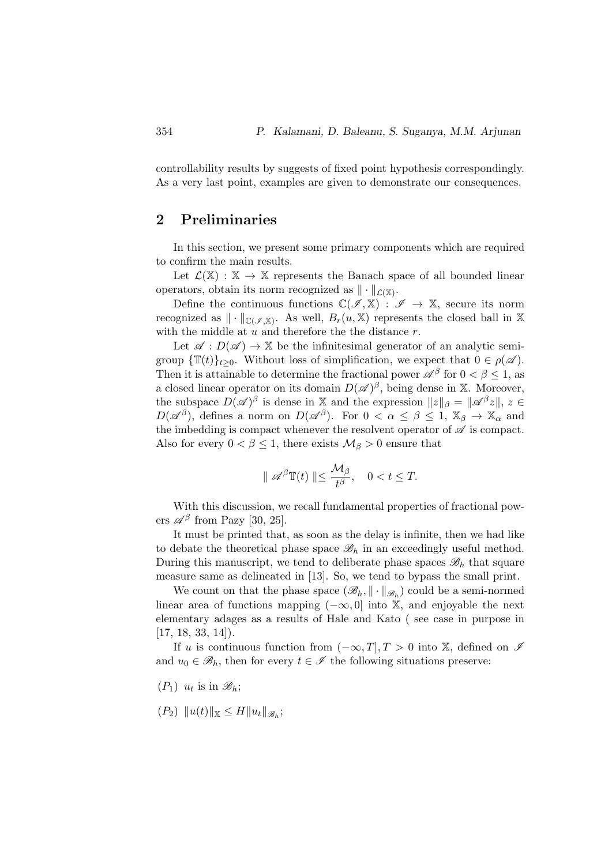controllability results by suggests of fixed point hypothesis correspondingly. As a very last point, examples are given to demonstrate our consequences.

# 2 Preliminaries

In this section, we present some primary components which are required to confirm the main results.

Let  $\mathcal{L}(\mathbb{X}) : \mathbb{X} \to \mathbb{X}$  represents the Banach space of all bounded linear operators, obtain its norm recognized as  $\|\cdot\|_{\mathcal{L}(\mathbb{X})}$ .

Define the continuous functions  $\mathbb{C}(\mathscr{I}, \mathbb{X}) : \mathscr{I} \to \mathbb{X}$ , secure its norm recognized as  $\|\cdot\|_{\mathbb{C}(\mathscr{I},\mathbb{X})}$ . As well,  $B_r(u,\mathbb{X})$  represents the closed ball in X with the middle at  $u$  and therefore the the distance  $r$ .

Let  $\mathscr{A}: D(\mathscr{A}) \to \mathbb{X}$  be the infinitesimal generator of an analytic semigroup  $\{\mathbb{T}(t)\}_{t>0}$ . Without loss of simplification, we expect that  $0 \in \rho(\mathscr{A})$ . Then it is attainable to determine the fractional power  $\mathscr{A}^{\beta}$  for  $0 < \beta \leq 1$ , as a closed linear operator on its domain  $D(\mathscr{A})^{\beta}$ , being dense in X. Moreover, the subspace  $D(\mathscr{A})^{\beta}$  is dense in X and the expression  $||z||_{\beta} = ||\mathscr{A}^{\beta}z||, z \in$  $D(\mathscr{A}^\beta)$ , defines a norm on  $D(\mathscr{A}^\beta)$ . For  $0 < \alpha \leq \beta \leq 1$ ,  $\mathbb{X}_\beta \to \mathbb{X}_\alpha$  and the imbedding is compact whenever the resolvent operator of  $\mathscr A$  is compact. Also for every  $0 < \beta \leq 1$ , there exists  $\mathcal{M}_{\beta} > 0$  ensure that

$$
\parallel \mathscr{A}^{\beta} \mathbb{T}(t) \parallel \leq \frac{\mathcal{M}_{\beta}}{t^{\beta}}, \quad 0 < t \leq T.
$$

With this discussion, we recall fundamental properties of fractional powers  $\mathscr{A}^{\beta}$  from Pazy [30, 25].

It must be printed that, as soon as the delay is infinite, then we had like to debate the theoretical phase space  $\mathscr{B}_h$  in an exceedingly useful method. During this manuscript, we tend to deliberate phase spaces  $\mathscr{B}_h$  that square measure same as delineated in [13]. So, we tend to bypass the small print.

We count on that the phase space  $(\mathscr{B}_h, \|\cdot\|_{\mathscr{B}_h})$  could be a semi-normed linear area of functions mapping  $(-\infty, 0]$  into X, and enjoyable the next elementary adages as a results of Hale and Kato ( see case in purpose in  $[17, 18, 33, 14]$ .

If u is continuous function from  $(-\infty, T]$ ,  $T > 0$  into X, defined on  $\mathscr I$ and  $u_0 \in \mathscr{B}_h$ , then for every  $t \in \mathscr{I}$  the following situations preserve:

- $(P_1)$   $u_t$  is in  $\mathscr{B}_h$ ;
- $(P_2)$   $||u(t)||_{\mathbb{X}} \leq H||u_t||_{\mathscr{B}_h};$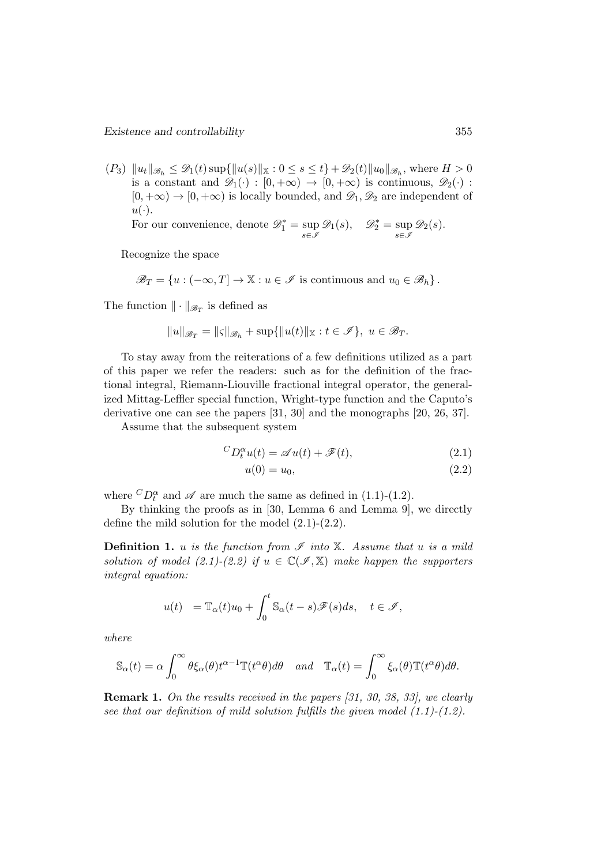$(P_3) \|u_t\|_{\mathscr{B}_h} \leq \mathscr{D}_1(t) \sup{\|u(s)\|_{\mathbb{X}}} : 0 \leq s \leq t\} + \mathscr{D}_2(t) \|u_0\|_{\mathscr{B}_h}$ , where  $H > 0$ is a constant and  $\mathscr{D}_1(\cdot) : [0, +\infty) \to [0, +\infty)$  is continuous,  $\mathscr{D}_2(\cdot)$ :  $[0, +\infty) \rightarrow [0, +\infty)$  is locally bounded, and  $\mathscr{D}_1, \mathscr{D}_2$  are independent of  $u(\cdot)$ .

For our convenience, denote  $\mathcal{D}_1^* = \sup_{s \in \mathcal{I}}$  $\mathscr{D}_1(s)$ ,  $\mathscr{D}_2^* = \sup_{s \in \mathscr{I}}$  $\mathscr{D}_2(s)$ .

Recognize the space

 $\mathscr{B}_T = \{u : (-\infty, T] \to \mathbb{X} : u \in \mathscr{I} \text{ is continuous and } u_0 \in \mathscr{B}_h\}.$ 

The function  $\|\cdot\|_{\mathscr{B}_T}$  is defined as

$$
||u||_{\mathscr{B}_T} = ||\varsigma||_{\mathscr{B}_h} + \sup\{||u(t)||_{\mathbb{X}} : t \in \mathscr{I}\}, \ u \in \mathscr{B}_T.
$$

To stay away from the reiterations of a few definitions utilized as a part of this paper we refer the readers: such as for the definition of the fractional integral, Riemann-Liouville fractional integral operator, the generalized Mittag-Leffler special function, Wright-type function and the Caputo's derivative one can see the papers [31, 30] and the monographs [20, 26, 37].

Assume that the subsequent system

$$
{}^{C}D_{t}^{\alpha}u(t) = \mathscr{A}u(t) + \mathscr{F}(t), \qquad (2.1)
$$

$$
u(0) = u_0,\t\t(2.2)
$$

where  ${}^CD_t^{\alpha}$  and  $\mathscr A$  are much the same as defined in (1.1)-(1.2).

By thinking the proofs as in [30, Lemma 6 and Lemma 9], we directly define the mild solution for the model (2.1)-(2.2).

**Definition 1.** u is the function from  $\mathscr I$  into  $\mathbb X$ . Assume that u is a mild solution of model (2.1)-(2.2) if  $u \in \mathbb{C}(\mathscr{I}, \mathbb{X})$  make happen the supporters integral equation:

$$
u(t) = \mathbb{T}_{\alpha}(t)u_0 + \int_0^t \mathbb{S}_{\alpha}(t-s)\mathscr{F}(s)ds, \quad t \in \mathscr{I},
$$

where

$$
\mathbb{S}_{\alpha}(t) = \alpha \int_0^{\infty} \theta \xi_{\alpha}(\theta) t^{\alpha - 1} \mathbb{T}(t^{\alpha} \theta) d\theta \quad and \quad \mathbb{T}_{\alpha}(t) = \int_0^{\infty} \xi_{\alpha}(\theta) \mathbb{T}(t^{\alpha} \theta) d\theta.
$$

Remark 1. On the results received in the papers [31, 30, 38, 33], we clearly see that our definition of mild solution fulfills the given model  $(1.1)$ - $(1.2)$ .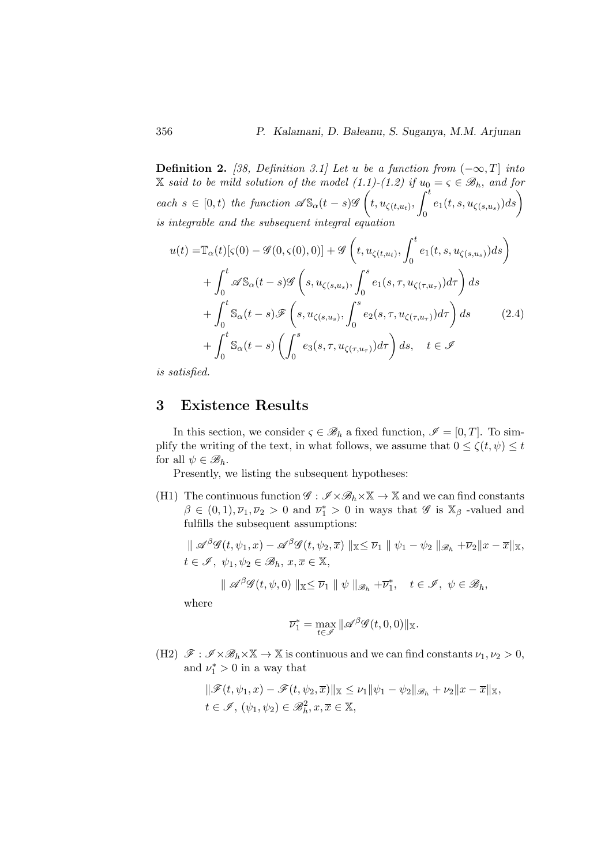**Definition 2.** [38, Definition 3.1] Let u be a function from  $(-\infty, T]$  into X said to be mild solution of the model (1.1)-(1.2) if  $u_0 = \varsigma \in \mathcal{B}_h$ , and for each  $s \in [0, t)$  the function  $\mathscr{A}S_{\alpha}(t-s)\mathscr{G}\left(t, u_{\zeta(t,u_t)},\right)^t$  $\int_0^t e_1(t,s,u_{\zeta(s,u_s)})ds\bigg)$ is integrable and the subsequent integral equation

$$
u(t) = \mathbb{T}_{\alpha}(t)[\varsigma(0) - \mathcal{G}(0,\varsigma(0),0)] + \mathcal{G}\left(t, u_{\zeta(t,u_t)}, \int_0^t e_1(t,s, u_{\zeta(s,u_s)})ds\right)
$$
  
+ 
$$
\int_0^t \mathcal{A}\mathbb{S}_{\alpha}(t-s)\mathcal{G}\left(s, u_{\zeta(s,u_s)}, \int_0^s e_1(s,\tau, u_{\zeta(\tau,u_\tau)})d\tau\right)ds
$$
  
+ 
$$
\int_0^t \mathbb{S}_{\alpha}(t-s)\mathcal{F}\left(s, u_{\zeta(s,u_s)}, \int_0^s e_2(s,\tau, u_{\zeta(\tau,u_\tau)})d\tau\right)ds
$$
(2.4)  
+ 
$$
\int_0^t \mathbb{S}_{\alpha}(t-s)\left(\int_0^s e_3(s,\tau, u_{\zeta(\tau,u_\tau)})d\tau\right)ds, \quad t \in \mathcal{I}
$$

is satisfied.

## 3 Existence Results

In this section, we consider  $\varsigma \in \mathcal{B}_h$  a fixed function,  $\mathcal{I} = [0, T]$ . To simplify the writing of the text, in what follows, we assume that  $0 \le \zeta(t, \psi) \le t$ for all  $\psi \in \mathscr{B}_h$ .

Presently, we listing the subsequent hypotheses:

(H1) The continuous function  $\mathscr{G} : \mathscr{I} \times \mathscr{B}_h \times \mathbb{X} \to \mathbb{X}$  and we can find constants  $\beta \in (0,1), \overline{\nu}_1, \overline{\nu}_2 > 0$  and  $\overline{\nu}_1^* > 0$  in ways that  $\mathscr{G}$  is  $\mathbb{X}_{\beta}$  -valued and fulfills the subsequent assumptions:

$$
\| \mathscr{A}^{\beta} \mathscr{G}(t, \psi_1, x) - \mathscr{A}^{\beta} \mathscr{G}(t, \psi_2, \overline{x}) \|_{\mathbb{X}} \leq \overline{\nu}_1 \| \psi_1 - \psi_2 \|_{\mathscr{B}_h} + \overline{\nu}_2 \| x - \overline{x} \|_{\mathbb{X}},
$$
  

$$
t \in \mathscr{I}, \ \psi_1, \psi_2 \in \mathscr{B}_h, \ x, \overline{x} \in \mathbb{X},
$$

$$
\| \mathscr{A}^{\beta} \mathscr{G}(t, \psi, 0) \|_{\mathbb{X}} \leq \overline{\nu}_1 \| \psi \|_{\mathscr{B}_h} + \overline{\nu}_1^*, \quad t \in \mathscr{I}, \ \psi \in \mathscr{B}_h,
$$

where

$$
\overline{\nu}_1^* = \max_{t \in \mathscr{I}} \|\mathscr{A}^{\beta} \mathscr{G}(t, 0, 0)\|_{\mathbb{X}}.
$$

(H2)  $\mathscr{F} : \mathscr{I} \times \mathscr{B}_h \times \mathbb{X} \to \mathbb{X}$  is continuous and we can find constants  $\nu_1, \nu_2 > 0$ , and  $\nu_1^* > 0$  in a way that

$$
\begin{aligned}\n\|\mathscr{F}(t,\psi_1,x)-\mathscr{F}(t,\psi_2,\overline{x})\| \mathbf{x} &\leq \nu_1 \|\psi_1-\psi_2\|_{\mathscr{B}_h} + \nu_2 \|x-\overline{x}\|_{\mathbf{X}}, \\
t &\in \mathscr{I}, \ (\psi_1,\psi_2) \in \mathscr{B}_h^2, x,\overline{x} \in \mathbf{X},\n\end{aligned}
$$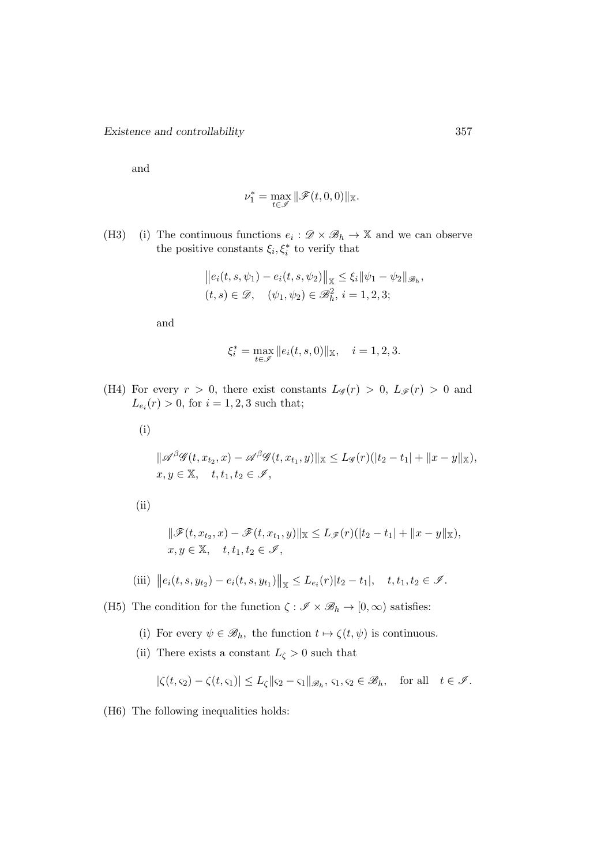and

$$
\nu_1^* = \max_{t\in\mathscr{I}} \|\mathscr{F}(t,0,0)\|_{\mathbb{X}}.
$$

(H3) (i) The continuous functions  $e_i : \mathscr{D} \times \mathscr{B}_h \to \mathbb{X}$  and we can observe the positive constants  $\xi_i, \xi_i^*$  to verify that

$$
||e_i(t, s, \psi_1) - e_i(t, s, \psi_2)||_{\mathbb{X}} \le \xi_i ||\psi_1 - \psi_2||_{\mathcal{B}_h},
$$
  
(t, s)  $\in \mathcal{D}$ ,  $(\psi_1, \psi_2) \in \mathcal{B}_h^2$ ,  $i = 1, 2, 3$ ;

and

$$
\xi_i^* = \max_{t \in \mathscr{I}} \|e_i(t, s, 0)\|_{\mathbb{X}}, \quad i = 1, 2, 3.
$$

- (H4) For every  $r > 0$ , there exist constants  $L_g(r) > 0$ ,  $L_g(r) > 0$  and  $L_{e_i}(r) > 0$ , for  $i = 1, 2, 3$  such that;
	- (i)

$$
\|\mathscr{A}^{\beta}\mathscr{G}(t,x_{t_2},x)-\mathscr{A}^{\beta}\mathscr{G}(t,x_{t_1},y)\|_{\mathbb{X}} \leq L_{\mathscr{G}}(r)(|t_2-t_1|+\|x-y\|_{\mathbb{X}}),
$$
  
 $x,y \in \mathbb{X}, \quad t, t_1, t_2 \in \mathscr{I},$ 

(ii)

$$
\|\mathscr{F}(t, x_{t_2}, x) - \mathscr{F}(t, x_{t_1}, y)\|_{\mathbb{X}} \le L_{\mathscr{F}}(r)(|t_2 - t_1| + \|x - y\|_{\mathbb{X}}),
$$
  
 $x, y \in \mathbb{X}, \quad t, t_1, t_2 \in \mathscr{I},$ 

(iii) 
$$
||e_i(t, s, y_{t_2}) - e_i(t, s, y_{t_1})||_X \leq L_{e_i}(r)|t_2 - t_1|, \quad t, t_1, t_2 \in \mathcal{I}.
$$

(H5) The condition for the function  $\zeta : \mathscr{I} \times \mathscr{B}_h \to [0, \infty)$  satisfies:

- (i) For every  $\psi \in \mathscr{B}_h$ , the function  $t \mapsto \zeta(t, \psi)$  is continuous.
- (ii) There exists a constant  $L_{\zeta}>0$  such that

$$
|\zeta(t,\varsigma_2)-\zeta(t,\varsigma_1)|\leq L_{\zeta}\|\varsigma_2-\varsigma_1\|_{\mathscr{B}_h}, \, \varsigma_1,\varsigma_2\in\mathscr{B}_h, \quad \text{for all} \quad t\in\mathscr{I}.
$$

(H6) The following inequalities holds: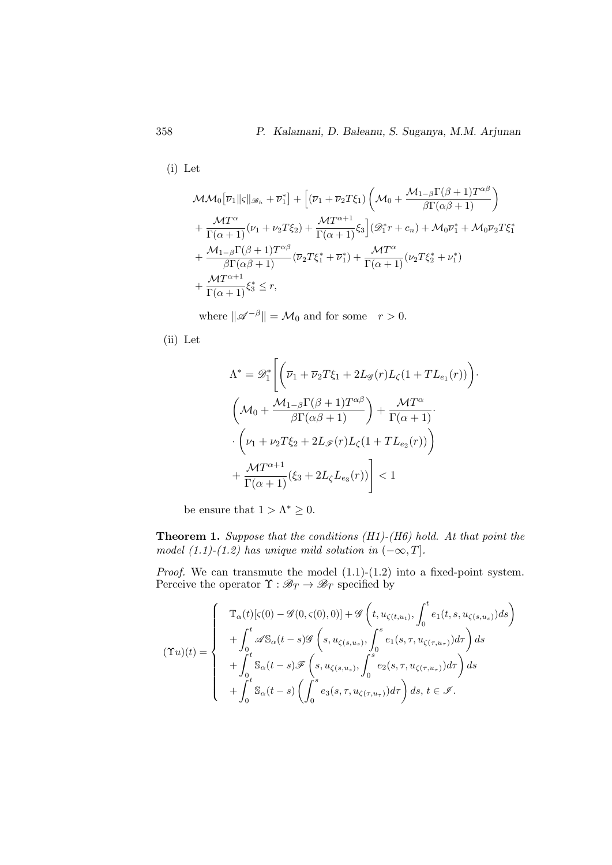(i) Let

$$
\mathcal{MM}_0[\overline{\nu}_1 \| \varsigma \|_{\mathscr{B}_h} + \overline{\nu}_1^*] + [(\overline{\nu}_1 + \overline{\nu}_2 T \xi_1) \left( \mathcal{M}_0 + \frac{\mathcal{M}_{1-\beta} \Gamma(\beta + 1) T^{\alpha \beta}}{\beta \Gamma(\alpha \beta + 1)} \right) \n+ \frac{\mathcal{M} T^{\alpha}}{\Gamma(\alpha + 1)} (\nu_1 + \nu_2 T \xi_2) + \frac{\mathcal{M} T^{\alpha + 1}}{\Gamma(\alpha + 1)} \xi_3] (\mathscr{D}_1^* r + c_n) + \mathcal{M}_0 \overline{\nu}_1^* + \mathcal{M}_0 \overline{\nu}_2 T \xi_1^* \n+ \frac{\mathcal{M}_{1-\beta} \Gamma(\beta + 1) T^{\alpha \beta}}{\beta \Gamma(\alpha \beta + 1)} (\overline{\nu}_2 T \xi_1^* + \overline{\nu}_1^*) + \frac{\mathcal{M} T^{\alpha}}{\Gamma(\alpha + 1)} (\nu_2 T \xi_2^* + \nu_1^*) \n+ \frac{\mathcal{M} T^{\alpha + 1}}{\Gamma(\alpha + 1)} \xi_3^* \le r,
$$

where  $\|\mathscr{A}^{-\beta}\| = \mathcal{M}_0$  and for some  $r > 0$ .

(ii) Let

$$
\Lambda^* = \mathscr{D}_1^* \Bigg[ \Big( \overline{\nu}_1 + \overline{\nu}_2 T \xi_1 + 2L_{\mathscr{G}}(r) L_{\zeta} (1 + TL_{e_1}(r)) \Big) \cdot \Bigg( \mathcal{M}_0 + \frac{\mathcal{M}_{1-\beta} \Gamma(\beta + 1) T^{\alpha \beta}}{\beta \Gamma(\alpha \beta + 1)} \Bigg) + \frac{\mathcal{M} T^{\alpha}}{\Gamma(\alpha + 1)} \cdot \Bigg( \nu_1 + \nu_2 T \xi_2 + 2L_{\mathscr{F}}(r) L_{\zeta} (1 + TL_{e_2}(r)) \Bigg) + \frac{\mathcal{M} T^{\alpha + 1}}{\Gamma(\alpha + 1)} (\xi_3 + 2L_{\zeta} L_{e_3}(r)) \Bigg] < 1
$$

be ensure that  $1 > \Lambda^* \geq 0$ .

**Theorem 1.** Suppose that the conditions  $(H1)-(H6)$  hold. At that point the model  $(1.1)-(1.2)$  has unique mild solution in  $(-\infty, T]$ .

*Proof.* We can transmute the model  $(1.1)-(1.2)$  into a fixed-point system. Perceive the operator  $\Upsilon : \mathscr{B}_T \to \mathscr{B}_T$  specified by

$$
(\Upsilon u)(t) = \begin{cases} \mathbb{T}_{\alpha}(t)[\varsigma(0) - \mathcal{G}(0,\varsigma(0),0)] + \mathcal{G}\left(t, u_{\zeta(t,u_t)}, \int_0^t e_1(t,s, u_{\zeta(s,u_s)})ds\right) \\ + \int_0^t \mathcal{A}S_{\alpha}(t-s)\mathcal{G}\left(s, u_{\zeta(s,u_s)}, \int_0^s e_1(s,\tau, u_{\zeta(\tau,u_\tau)})d\tau\right)ds \\ + \int_0^t S_{\alpha}(t-s)\mathcal{F}\left(s, u_{\zeta(s,u_s)}, \int_0^s e_2(s,\tau, u_{\zeta(\tau,u_\tau)})d\tau\right)ds \\ + \int_0^t S_{\alpha}(t-s)\left(\int_0^s e_3(s,\tau, u_{\zeta(\tau,u_\tau)})d\tau\right)ds, t \in \mathcal{I}. \end{cases}
$$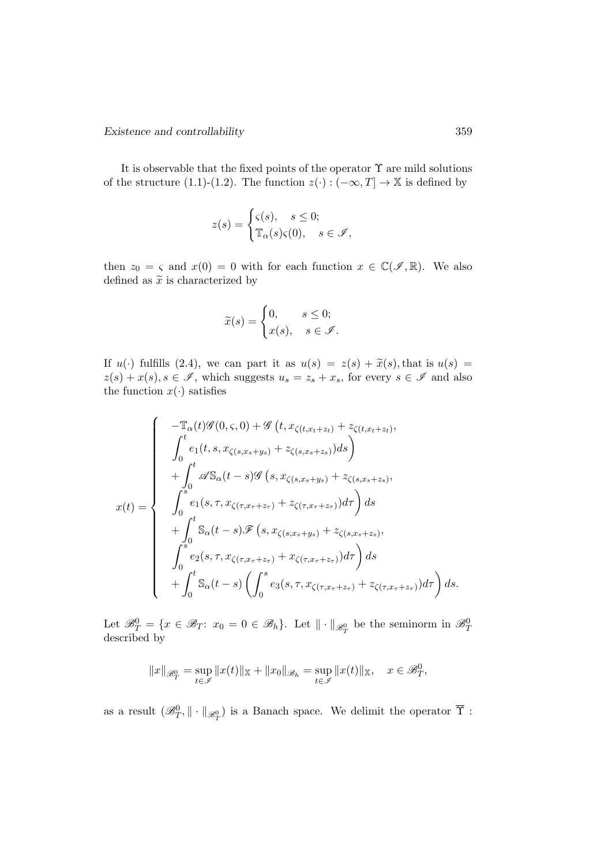It is observable that the fixed points of the operator  $\Upsilon$  are mild solutions of the structure (1.1)-(1.2). The function  $z(\cdot) : (-\infty, T] \to \mathbb{X}$  is defined by

$$
z(s) = \begin{cases} \varsigma(s), & s \le 0; \\ \mathbb{T}_{\alpha}(s)\varsigma(0), & s \in \mathscr{I}, \end{cases}
$$

then  $z_0 = \varsigma$  and  $x(0) = 0$  with for each function  $x \in \mathbb{C}(\mathscr{I}, \mathbb{R})$ . We also defined as  $\widetilde{x}$  is characterized by

$$
\widetilde{x}(s) = \begin{cases} 0, & s \leq 0; \\ x(s), & s \in \mathscr{I}. \end{cases}
$$

If  $u(\cdot)$  fulfills (2.4), we can part it as  $u(s) = z(s) + \tilde{x}(s)$ , that is  $u(s) =$  $z(s) + x(s)$ ,  $s \in \mathscr{I}$ , which suggests  $u_s = z_s + x_s$ , for every  $s \in \mathscr{I}$  and also the function  $x(\cdot)$  satisfies

$$
x(t) = \begin{cases}\n-\mathbb{T}_{\alpha}(t)\mathscr{G}(0,\varsigma,0) + \mathscr{G}(t,x_{\zeta(t,x_t+z_t)} + z_{\zeta(t,x_t+z_t)}, \\
\int_0^t e_1(t,s,x_{\zeta(s,x_s+y_s)} + z_{\zeta(s,x_s+z_s)})ds \\
+\int_0^t \mathscr{A}S_{\alpha}(t-s)\mathscr{G}(s,x_{\zeta(s,x_s+y_s)} + z_{\zeta(s,x_s+z_s)}, \\
\int_0^s e_1(s,\tau,x_{\zeta(\tau,x_\tau+z_\tau)} + z_{\zeta(\tau,x_\tau+z_\tau)})d\tau\right)ds \\
+\int_0^t S_{\alpha}(t-s)\mathscr{F}(s,x_{\zeta(s,x_s+y_s)} + z_{\zeta(s,x_s+z_s)}, \\
\int_0^s e_2(s,\tau,x_{\zeta(\tau,x_\tau+z_\tau)} + x_{\zeta(\tau,x_\tau+z_\tau)})d\tau\right)ds \\
+\int_0^t S_{\alpha}(t-s)\left(\int_0^s e_3(s,\tau,x_{\zeta(\tau,x_\tau+z_\tau)} + z_{\zeta(\tau,x_\tau+z_\tau)})d\tau\right)ds.\n\end{cases}
$$

Let  $\mathscr{B}_T^0 = \{x \in \mathscr{B}_T : x_0 = 0 \in \mathscr{B}_h\}$ . Let  $\|\cdot\|_{\mathscr{B}_T^0}$  be the seminorm in  $\mathscr{B}_T^0$ described by

$$
||x||_{\mathscr{B}_T^0} = \sup_{t \in \mathscr{I}} ||x(t)||_{\mathbb{X}} + ||x_0||_{\mathscr{B}_h} = \sup_{t \in \mathscr{I}} ||x(t)||_{\mathbb{X}}, \quad x \in \mathscr{B}_T^0,
$$

as a result  $(\mathscr{B}_{T}^{0},\|\cdot\|_{\mathscr{B}_{T}^{0}})$  is a Banach space. We delimit the operator  $\overline{\Upsilon}$  :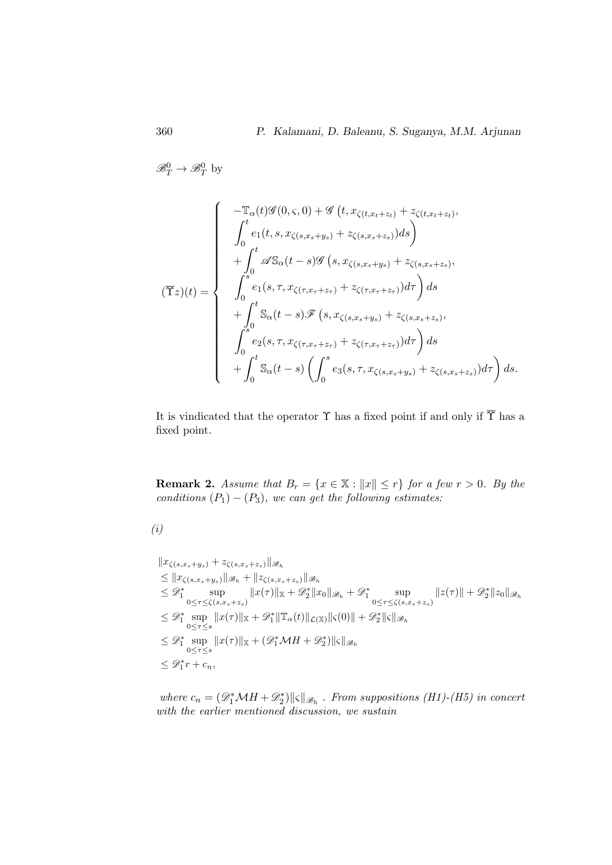$\mathscr{B}_T^0 \to \mathscr{B}_T^0$  by

$$
(\overline{\Upsilon}z)(t) = \begin{cases}\n-\mathbb{T}_{\alpha}(t)\mathscr{G}(0,\varsigma,0) + \mathscr{G}(t,x_{\zeta(t,x_t+z_t)} + z_{\zeta(t,x_t+z_t)},\\
\int_{0}^{t} e_1(t,s,x_{\zeta(s,x_s+y_s)} + z_{\zeta(s,x_s+z_s)})ds\\
+\int_{0}^{t} \mathscr{A}S_{\alpha}(t-s)\mathscr{G}(s,x_{\zeta(s,x_s+y_s)} + z_{\zeta(s,x_s+z_s)},\\
\int_{0}^{s} e_1(s,\tau,x_{\zeta(\tau,x_\tau+z_\tau)} + z_{\zeta(\tau,x_\tau+z_\tau)})d\tau\right)ds\\
+\int_{0}^{t} S_{\alpha}(t-s)\mathscr{F}(s,x_{\zeta(s,x_s+y_s)} + z_{\zeta(s,x_s+z_s)},\\
\int_{0}^{s} e_2(s,\tau,x_{\zeta(\tau,x_\tau+z_\tau)} + z_{\zeta(\tau,x_\tau+z_\tau)})d\tau\right)ds\\
+\int_{0}^{t} S_{\alpha}(t-s)\left(\int_{0}^{s} e_3(s,\tau,x_{\zeta(s,x_s+y_s)} + z_{\zeta(s,x_s+z_s)})d\tau\right)ds.\n\end{cases}
$$

It is vindicated that the operator  $\Upsilon$  has a fixed point if and only if  $\overline{\Upsilon}$  has a fixed point.

**Remark 2.** Assume that  $B_r = \{x \in \mathbb{X} : ||x|| \le r\}$  for a few  $r > 0$ . By the conditions  $(P_1) - (P_3)$ , we can get the following estimates:

$$
(i)
$$

$$
\|x_{\zeta(s,x_s+y_s)} + z_{\zeta(s,x_s+z_s)}\|_{\mathcal{B}_h}
$$
\n
$$
\leq \|x_{\zeta(s,x_s+y_s)}\|_{\mathcal{B}_h} + \|z_{\zeta(s,x_s+z_s)}\|_{\mathcal{B}_h}
$$
\n
$$
\leq \mathcal{D}_1^*
$$
 
$$
\sup_{0 \leq \tau \leq \zeta(s,x_s+z_s)} \|x(\tau)\|_{\mathbb{X}} + \mathcal{D}_2^* \|x_0\|_{\mathcal{B}_h} + \mathcal{D}_1^* \sup_{0 \leq \tau \leq \zeta(s,x_s+z_s)} \|z(\tau)\| + \mathcal{D}_2^* \|z_0\|_{\mathcal{B}_h}
$$
\n
$$
\leq \mathcal{D}_1^*
$$
 
$$
\sup_{0 \leq \tau \leq s} \|x(\tau)\|_{\mathbb{X}} + \mathcal{D}_1^* \|\mathbb{T}_{\alpha}(t)\|_{\mathcal{L}(\mathbb{X})} \|s(0)\| + \mathcal{D}_2^* \|s\|_{\mathcal{B}_h}
$$
\n
$$
\leq \mathcal{D}_1^*
$$
 
$$
\sup_{0 \leq \tau \leq s} \|x(\tau)\|_{\mathbb{X}} + (\mathcal{D}_1^* \mathcal{M} H + \mathcal{D}_2^*) \|s\|_{\mathcal{B}_h}
$$
\n
$$
\leq \mathcal{D}_1^* r + c_n,
$$

where  $c_n = (\mathscr{D}_1^*\mathcal{M}H + \mathscr{D}_2^*)||\varsigma||_{\mathscr{B}_h}$ . From suppositions (H1)-(H5) in concert with the earlier mentioned discussion, we sustain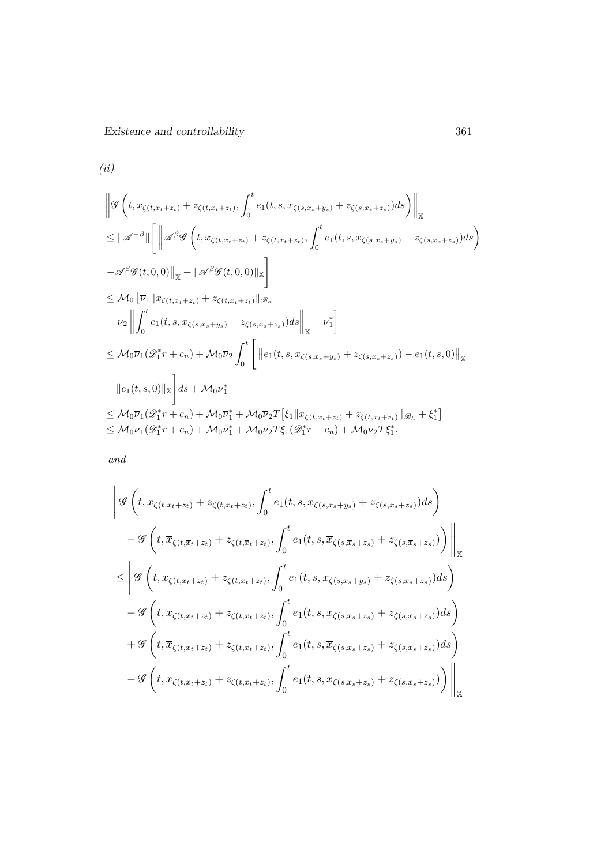Existence and controllability 361

$$
(ii)
$$
\n
$$
\|\mathcal{G}\left(t, x_{\zeta(t,x_t+z_t)} + z_{\zeta(t,x_t+z_t)}, \int_0^t e_1(t, s, x_{\zeta(s,x_s+y_s)} + z_{\zeta(s,x_s+z_s)}) ds\right)\|_{\mathbb{X}}
$$
\n
$$
\leq \|\mathcal{A}^{-\beta}\| \left[ \|\mathcal{A}^{\beta}\mathcal{G}\left(t, x_{\zeta(t,x_t+z_t)} + z_{\zeta(t,x_t+z_t)}, \int_0^t e_1(t, s, x_{\zeta(s,x_s+y_s)} + z_{\zeta(s,x_s+z_s)}) ds\right) \right]
$$
\n
$$
-\mathcal{A}^{\beta}\mathcal{G}(t, 0, 0) \|_{\mathbb{X}} + \|\mathcal{A}^{\beta}\mathcal{G}(t, 0, 0)\|_{\mathbb{X}} \right]
$$
\n
$$
\leq M_0 \left[ \overline{\nu}_1 \|x_{\zeta(t,x_t+z_t)} + z_{\zeta(t,x_t+z_t)}\|_{\mathscr{B}_h} + \overline{\nu}_2 \right] \int_0^t e_1(t, s, x_{\zeta(s,x_s+y_s)} + z_{\zeta(s,x_s+z_s)}) ds \Big\|_{\mathbb{X}} + \overline{\nu}_1^* \right]
$$
\n
$$
\leq M_0 \overline{\nu}_1 (\mathcal{D}_1^* r + c_n) + M_0 \overline{\nu}_2 \int_0^t \left[ \left\| e_1(t, s, x_{\zeta(s,x_s+y_s)} + z_{\zeta(s,x_s+z_s)}) - e_1(t, s, 0) \right\|_{\mathbb{X}} + \left\| e_1(t, s, 0) \right\|_{\mathbb{X}} \right] ds + M_0 \overline{\nu}_1^* \right]
$$
\n
$$
\leq M_0 \overline{\nu}_1 (\mathcal{D}_1^* r + c_n) + M_0 \overline{\nu}_1^* + M_0 \overline{\nu}_2 T \left[\xi_1 \| x_{\zeta(t,x_t+z_t)} + z_{\zeta(t,x_t+z_t)} \|_{\mathscr{B}_h} + \xi_1^* \right]
$$
\n
$$
\leq M_0 \overline{\nu}_1 (\mathcal{D}_1^* r + c_n) + M_0 \overline{\nu}_1^* + M_0 \overline{\nu}_2 T \xi_1 (\mathcal{D}_1^* r + c_n) + M_0 \
$$

and

$$
\| \mathcal{G} \left( t, x_{\zeta(t,x_{t}+z_{t})} + z_{\zeta(t,x_{t}+z_{t})}, \int_{0}^{t} e_{1}(t, s, x_{\zeta(s,x_{s}+y_{s})} + z_{\zeta(s,x_{s}+z_{s})}) ds \right) - \mathcal{G} \left( t, \overline{x}_{\zeta(t,\overline{x}_{t}+z_{t})} + z_{\zeta(t,\overline{x}_{t}+z_{t})}, \int_{0}^{t} e_{1}(t, s, \overline{x}_{\zeta(s,\overline{x}_{s}+z_{s})} + z_{\zeta(s,\overline{x}_{s}+z_{s})}) \right) \Big|_{\mathbb{X}} \n\leq \left\| \mathcal{G} \left( t, x_{\zeta(t,x_{t}+z_{t})} + z_{\zeta(t,x_{t}+z_{t})}, \int_{0}^{t} e_{1}(t, s, x_{\zeta(s,x_{s}+y_{s})} + z_{\zeta(s,x_{s}+z_{s})}) ds \right) - \mathcal{G} \left( t, \overline{x}_{\zeta(t,x_{t}+z_{t})} + z_{\zeta(t,x_{t}+z_{t})}, \int_{0}^{t} e_{1}(t, s, \overline{x}_{\zeta(s,x_{s}+z_{s})} + z_{\zeta(s,x_{s}+z_{s})}) ds \right) \right. \n+ \mathcal{G} \left( t, \overline{x}_{\zeta(t,x_{t}+z_{t})} + z_{\zeta(t,x_{t}+z_{t})}, \int_{0}^{t} e_{1}(t, s, \overline{x}_{\zeta(s,x_{s}+z_{s})} + z_{\zeta(s,x_{s}+z_{s})}) ds \right) - \mathcal{G} \left( t, \overline{x}_{\zeta(t,\overline{x}_{t}+z_{t})} + z_{\zeta(t,\overline{x}_{t}+z_{t})}, \int_{0}^{t} e_{1}(t, s, \overline{x}_{\zeta(s,\overline{x}_{s}+z_{s})} + z_{\zeta(s,\overline{x}_{s}+z_{s})}) \right) \Big|_{\mathbb{X}} \right\|
$$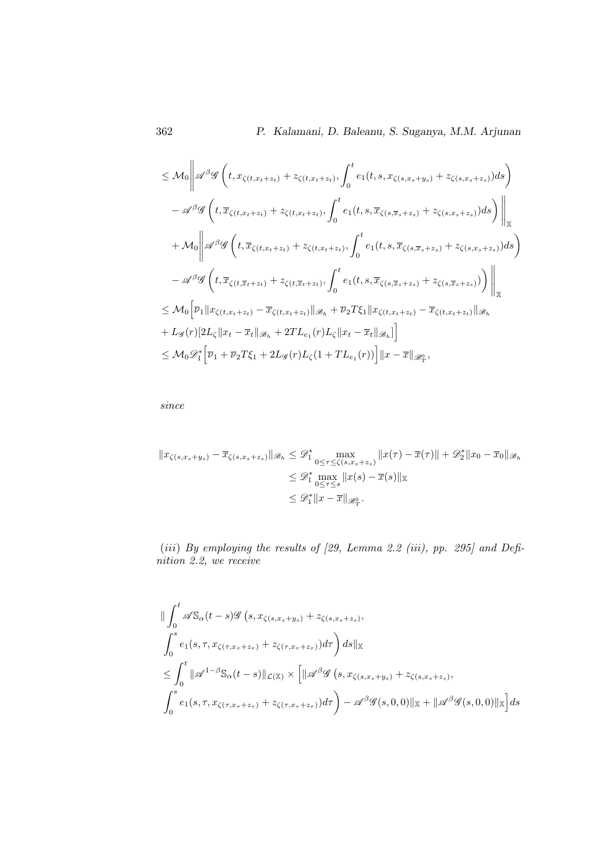$$
\leq M_0 \left\| \mathcal{A}^{\beta} \mathcal{G} \left( t, x_{\zeta(t,x_t+z_t)} + z_{\zeta(t,x_t+z_t)}, \int_0^t e_1(t,s, x_{\zeta(s,x_s+y_s)} + z_{\zeta(s,x_s+z_s)}) ds \right) \right\|
$$
  
\n
$$
- \mathcal{A}^{\beta} \mathcal{G} \left( t, \overline{x}_{\zeta(t,x_t+z_t)} + z_{\zeta(t,x_t+z_t)}, \int_0^t e_1(t,s, \overline{x}_{\zeta(s,\overline{x}_s+z_s)} + z_{\zeta(s,x_s+z_s)}) ds \right) \right\|_{\mathbb{X}}
$$
  
\n
$$
+ M_0 \left\| \mathcal{A}^{\beta} \mathcal{G} \left( t, \overline{x}_{\zeta(t,x_t+z_t)} + z_{\zeta(t,x_t+z_t)}, \int_0^t e_1(t,s, \overline{x}_{\zeta(s,\overline{x}_s+z_s)} + z_{\zeta(s,x_s+z_s)}) ds \right) \right\|
$$
  
\n
$$
- \mathcal{A}^{\beta} \mathcal{G} \left( t, \overline{x}_{\zeta(t,\overline{x}_t+z_t)} + z_{\zeta(t,\overline{x}_t+z_t)}, \int_0^t e_1(t,s, \overline{x}_{\zeta(s,\overline{x}_s+z_s)} + z_{\zeta(s,\overline{x}_s+z_s)}) \right) \right\|_{\mathbb{X}}
$$
  
\n
$$
\leq M_0 \left[ \overline{\nu}_1 \|\|x_{\zeta(t,x_t+z_t)} - \overline{x}_{\zeta(t,x_t+z_t)}\|\|x_{\zeta(t,x_t+z_t)} - \overline{x}_{\zeta(t,x_t+z_t)}\|x_{\zeta(t,x_t+z_t)})\|x_{\zeta(t,x_t+z_t)}\right]
$$
  
\n
$$
+ L_0 \mathcal{G} \left\|2L_{\zeta} \|\|x_t - \overline{x}_t\|\|x_{\zeta}(r)L_{\zeta}(r)L_{\zeta} \|\|x_t - \overline{x}_t\|\|x_{\zeta(t)}\right)
$$

since

$$
||x_{\zeta(s,x_s+y_s)} - \overline{x}_{\zeta(s,x_s+z_s)}||_{\mathscr{B}_h} \leq \mathscr{D}_1^* \max_{0 \leq \tau \leq \zeta(s,x_s+z_s)} ||x(\tau) - \overline{x}(\tau)|| + \mathscr{D}_2^* ||x_0 - \overline{x}_0||_{\mathscr{B}_h}
$$
  

$$
\leq \mathscr{D}_1^* \max_{0 \leq \tau \leq s} ||x(s) - \overline{x}(s)||_{\mathbb{X}}
$$
  

$$
\leq \mathscr{D}_1^* ||x - \overline{x}||_{\mathscr{B}_T^0}.
$$

(iii) By employing the results of  $[29, Lemma 2.2 (iii), pp. 295]$  and Definition 2.2, we receive

$$
\|\int_0^t \mathscr{A} S_{\alpha}(t-s)\mathscr{G}(s,x_{\zeta(s,x_s+y_s)}+z_{\zeta(s,x_s+z_s)},
$$
  

$$
\int_0^s e_1(s,\tau,x_{\zeta(\tau,x_\tau+z_\tau)}+z_{\zeta(\tau,x_\tau+z_\tau)})d\tau\) ds\|_{\mathbb{X}}
$$
  

$$
\leq \int_0^t \|\mathscr{A}^{1-\beta} S_{\alpha}(t-s)\|_{\mathcal{L}(\mathbb{X})} \times \left[\|\mathscr{A}^{\beta}\mathscr{G}(s,x_{\zeta(s,x_s+y_s)}+z_{\zeta(s,x_s+z_s)},
$$
  

$$
\int_0^s e_1(s,\tau,x_{\zeta(\tau,x_\tau+z_\tau)}+z_{\zeta(\tau,x_\tau+z_\tau)})d\tau\right) - \mathscr{A}^{\beta}\mathscr{G}(s,0,0)\|_{\mathbb{X}} + \|\mathscr{A}^{\beta}\mathscr{G}(s,0,0)\|_{\mathbb{X}}\right] ds
$$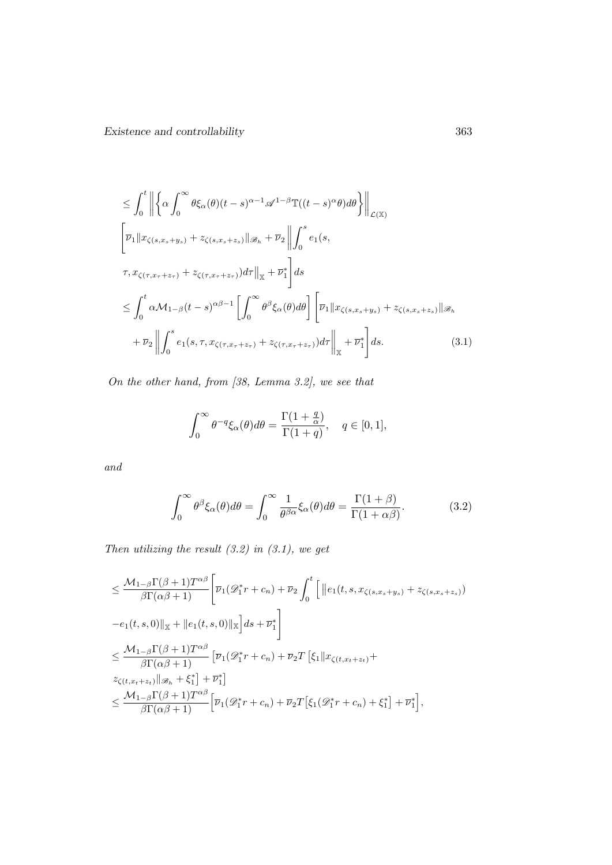$$
\leq \int_{0}^{t} \left\| \left\{ \alpha \int_{0}^{\infty} \theta \xi_{\alpha}(\theta)(t-s)^{\alpha-1} \mathcal{A}^{1-\beta} \mathbb{T}((t-s)^{\alpha} \theta) d\theta \right\} \right\|_{\mathcal{L}(\mathbb{X})}
$$
  
\n
$$
\left[ \overline{\nu}_{1} \| x_{\zeta(s,x_{s}+y_{s})} + z_{\zeta(s,x_{s}+z_{s})} \| \mathcal{B}_{h} + \overline{\nu}_{2} \right\| \int_{0}^{s} e_{1}(s,
$$
  
\n
$$
\tau, x_{\zeta(\tau,x_{\tau}+z_{\tau})} + z_{\zeta(\tau,x_{\tau}+z_{\tau})}) d\tau \|_{\mathbb{X}} + \overline{\nu}_{1}^{*} \right] ds
$$
  
\n
$$
\leq \int_{0}^{t} \alpha \mathcal{M}_{1-\beta}(t-s)^{\alpha\beta-1} \left[ \int_{0}^{\infty} \theta^{\beta} \xi_{\alpha}(\theta) d\theta \right] \left[ \overline{\nu}_{1} \| x_{\zeta(s,x_{s}+y_{s})} + z_{\zeta(s,x_{s}+z_{s})} \| \mathcal{B}_{h}
$$
  
\n
$$
+ \overline{\nu}_{2} \left\| \int_{0}^{s} e_{1}(s,\tau,x_{\zeta(\tau,x_{\tau}+z_{\tau})} + z_{\zeta(\tau,x_{\tau}+z_{\tau})}) d\tau \right\|_{\mathbb{X}} + \overline{\nu}_{1}^{*} \right] ds.
$$
 (3.1)

On the other hand, from [38, Lemma 3.2], we see that

$$
\int_0^\infty \theta^{-q} \xi_\alpha(\theta) d\theta = \frac{\Gamma(1+\frac{q}{\alpha})}{\Gamma(1+q)}, \quad q \in [0,1],
$$

and

$$
\int_0^\infty \theta^\beta \xi_\alpha(\theta) d\theta = \int_0^\infty \frac{1}{\theta^{\beta\alpha}} \xi_\alpha(\theta) d\theta = \frac{\Gamma(1+\beta)}{\Gamma(1+\alpha\beta)}.
$$
 (3.2)

Then utilizing the result  $(3.2)$  in  $(3.1)$ , we get

$$
\leq \frac{\mathcal{M}_{1-\beta}\Gamma(\beta+1)T^{\alpha\beta}}{\beta\Gamma(\alpha\beta+1)} \Bigg[ \overline{\nu}_1(\mathcal{D}_1^*r+c_n) + \overline{\nu}_2 \int_0^t \Big[ ||e_1(t,s,x_{\zeta(s,x_s+y_s)} + z_{\zeta(s,x_s+z_s)})
$$
  
\n
$$
-e_1(t,s,0)||_{\mathbb{X}} + ||e_1(t,s,0)||_{\mathbb{X}} \Big] ds + \overline{\nu}_1^* \Bigg]
$$
  
\n
$$
\leq \frac{\mathcal{M}_{1-\beta}\Gamma(\beta+1)T^{\alpha\beta}}{\beta\Gamma(\alpha\beta+1)} \Big[ \overline{\nu}_1(\mathcal{D}_1^*r+c_n) + \overline{\nu}_2T \Big[ \xi_1 || x_{\zeta(t,x_t+z_t)} + z_{\zeta(t,x_t+z_t)} ||_{\mathcal{B}_h} + \xi_1^* \Big] + \overline{\nu}_1^* \Big]
$$
  
\n
$$
\leq \frac{\mathcal{M}_{1-\beta}\Gamma(\beta+1)T^{\alpha\beta}}{\beta\Gamma(\alpha\beta+1)} \Big[ \overline{\nu}_1(\mathcal{D}_1^*r+c_n) + \overline{\nu}_2T \Big[ \xi_1(\mathcal{D}_1^*r+c_n) + \xi_1^* \Big] + \overline{\nu}_1^* \Big],
$$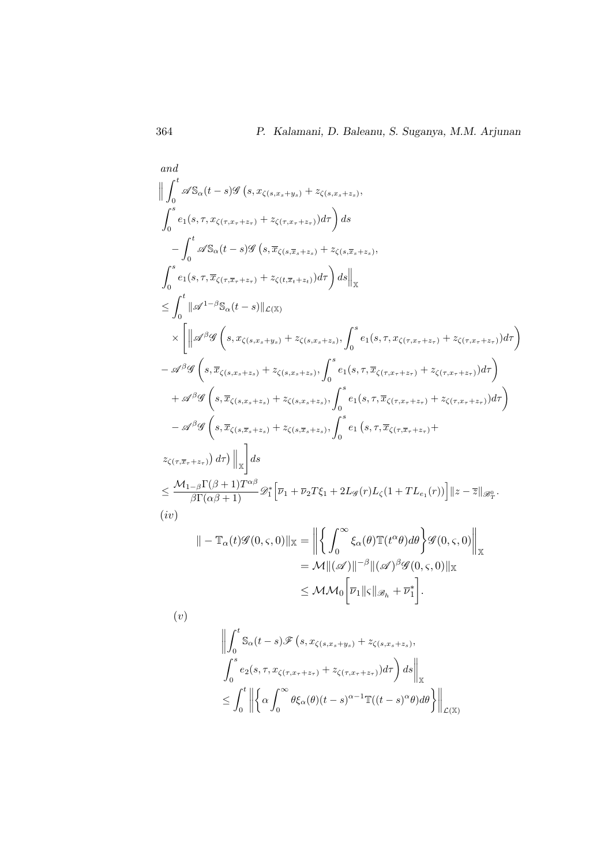and  
\n
$$
\left\| \int_{0}^{t} \mathscr{A}S_{\alpha}(t-s)\mathscr{G}(s,x_{\zeta(s,x_{s}+y_{s})}+z_{\zeta(s,x_{s}+z_{s})},
$$
\n
$$
\int_{0}^{s} e_{1}(s,\tau,x_{\zeta(\tau,x_{\tau}+z_{\tau})}+z_{\zeta(\tau,x_{\tau}+z_{\tau})})d\tau \right) ds
$$
\n
$$
-\int_{0}^{t} \mathscr{A}S_{\alpha}(t-s)\mathscr{G}(s,\overline{x}_{\zeta(s,\overline{x}_{s}+z_{s})}+z_{\zeta(s,\overline{x}_{s}+z_{s})},
$$
\n
$$
\int_{0}^{s} e_{1}(s,\tau,\overline{x}_{\zeta(\tau,\overline{x}_{\tau}+z_{\tau})}+z_{\zeta(t,\overline{x}_{t}+z_{t})})d\tau \right) ds \Big\|_{\mathbb{X}}
$$
\n
$$
\leq \int_{0}^{t} \left\| \mathscr{A}^{1-\beta}S_{\alpha}(t-s) \right\|_{\mathcal{L}(\mathbb{X})}
$$
\n
$$
\times \left[ \left\| \mathscr{A}^{\beta}\mathscr{G}(s,x_{\zeta(s,x_{s}+y_{s})}+z_{\zeta(s,x_{s}+z_{s})},\int_{0}^{s} e_{1}(s,\tau,x_{\zeta(\tau,x_{\tau}+z_{\tau})}+z_{\zeta(\tau,x_{\tau}+z_{\tau})})d\tau \right) \right.
$$
\n
$$
- \mathscr{A}^{\beta}\mathscr{G}(s,\overline{x}_{\zeta(s,x_{s}+z_{s})}+z_{\zeta(s,x_{s}+z_{s})},\int_{0}^{s} e_{1}(s,\tau,\overline{x}_{\zeta(\tau,x_{\tau}+z_{\tau})}+z_{\zeta(\tau,x_{\tau}+z_{\tau})})d\tau \right)
$$
\n
$$
- \mathscr{A}^{\beta}\mathscr{G}(s,\overline{x}_{\zeta(s,x_{s}+z_{s})}+z_{\zeta(s,x_{s}+z_{s})},\int_{0}^{s} e_{1}(s,\tau,\overline{x}_{\zeta(\tau,x_{\tau}+z_{\tau})}+z_{\zeta(\tau,x_{\tau}+z_{\tau})})d\tau \right)
$$
\n
$$
- \mathscr{A
$$

$$
\| - \mathbb{T}_{\alpha}(t) \mathscr{G}(0, \varsigma, 0) \|_{\mathbb{X}} = \left\| \left\{ \int_0^{\infty} \xi_{\alpha}(\theta) \mathbb{T}(t^{\alpha} \theta) d\theta \right\} \mathscr{G}(0, \varsigma, 0) \right\|_{\mathbb{X}}
$$
  
\n
$$
= \mathcal{M} \| (\mathscr{A}) \|^{-\beta} \| (\mathscr{A})^{\beta} \mathscr{G}(0, \varsigma, 0) \|_{\mathbb{X}}
$$
  
\n
$$
\leq \mathcal{M} \mathcal{M}_0 \left[ \overline{\nu}_1 \| \varsigma \|_{\mathscr{B}_h} + \overline{\nu}_1^* \right].
$$

(v)

$$
\left\| \int_0^t \mathbb{S}_{\alpha}(t-s) \mathscr{F}(s, x_{\zeta(s,x_s+y_s)} + z_{\zeta(s,x_s+z_s)},
$$
  

$$
\int_0^s e_2(s, \tau, x_{\zeta(\tau,x_\tau+z_\tau)} + z_{\zeta(\tau,x_\tau+z_\tau)}) d\tau \right) ds \right\|_{\mathbb{X}}
$$
  

$$
\leq \int_0^t \left\| \left\{ \alpha \int_0^\infty \theta \xi_{\alpha}(\theta)(t-s)^{\alpha-1} \mathbb{T}((t-s)^\alpha \theta) d\theta \right\} \right\|_{\mathcal{L}(\mathbb{X})}
$$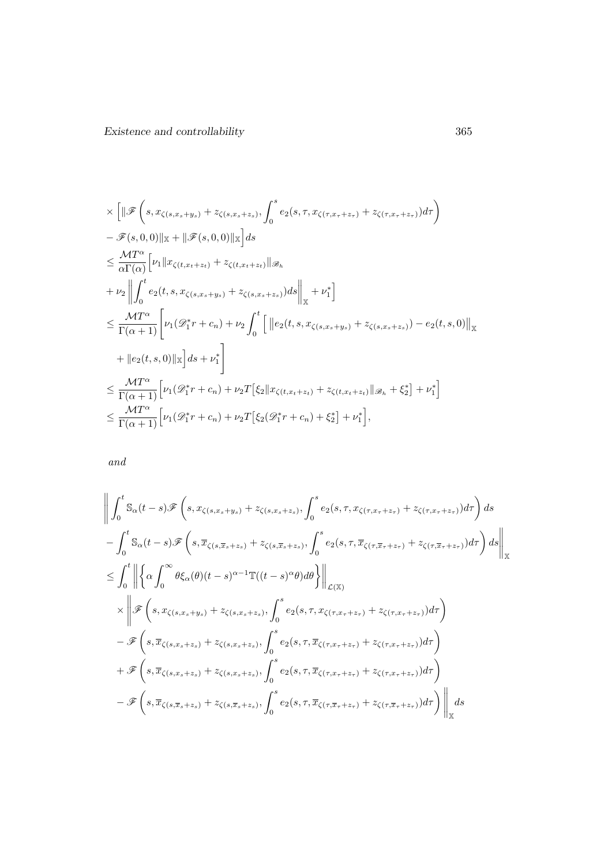$$
\times \left[ \|\mathcal{F}\left(s, x_{\zeta(s,x_s+y_s)} + z_{\zeta(s,x_s+z_s)}, \int_0^s e_2(s, \tau, x_{\zeta(\tau,x+\tau+1)} + z_{\zeta(\tau,x+\tau+2)} ) d\tau \right) \right]
$$
  
\n
$$
- \mathcal{F}(s, 0, 0) \|_{\mathbb{X}} + \|\mathcal{F}(s, 0, 0) \|_{\mathbb{X}} \Big] ds
$$
  
\n
$$
\leq \frac{MT^{\alpha}}{\alpha \Gamma(\alpha)} \Big[ \nu_1 \|x_{\zeta(t,x_t+z_t)} + z_{\zeta(t,x_t+z_t)} \|_{\mathscr{B}_h}
$$
  
\n
$$
+ \nu_2 \Big\| \int_0^t e_2(t, s, x_{\zeta(s,x_s+y_s)} + z_{\zeta(s,x_s+z_s)}) ds \Big\|_{\mathbb{X}} + \nu_1^* \Big]
$$
  
\n
$$
\leq \frac{MT^{\alpha}}{\Gamma(\alpha+1)} \Big[ \nu_1 (\mathscr{D}_1^* r + c_n) + \nu_2 \int_0^t \Big[ \|e_2(t, s, x_{\zeta(s,x_s+y_s)} + z_{\zeta(s,x_s+z_s)}) - e_2(t, s, 0) \|_{\mathbb{X}} \Big]
$$
  
\n
$$
+ \|e_2(t, s, 0) \|_{\mathbb{X}} \Big] ds + \nu_1^* \Big]
$$
  
\n
$$
\leq \frac{MT^{\alpha}}{\Gamma(\alpha+1)} \Big[ \nu_1 (\mathscr{D}_1^* r + c_n) + \nu_2 T [\xi_2 \| x_{\zeta(t,x_t+z_t)} + z_{\zeta(t,x_t+z_t)} \|_{\mathscr{B}_h} + \xi_2^* \Big] + \nu_1^* \Big]
$$
  
\n
$$
\leq \frac{MT^{\alpha}}{\Gamma(\alpha+1)} \Big[ \nu_1 (\mathscr{D}_1^* r + c_n) + \nu_2 T [\xi_2 (\mathscr{D}_1^* r + c_n) + \xi_2^*] + \nu_1^* \Big],
$$

and

$$
\left\| \int_{0}^{t} \mathbb{S}_{\alpha}(t-s) \mathscr{F}\left(s, x_{\zeta(s,x_{s}+y_{s})}+z_{\zeta(s,x_{s}+z_{s})}, \int_{0}^{s} e_{2}(s,\tau, x_{\zeta(\tau,x_{\tau}+z_{\tau})}+z_{\zeta(\tau,x_{\tau}+z_{\tau})}) d\tau \right) ds \right\|_{\mathbb{X}} \n- \int_{0}^{t} \mathbb{S}_{\alpha}(t-s) \mathscr{F}\left(s, \overline{x}_{\zeta(s,\overline{x}_{s}+z_{s})}+z_{\zeta(s,\overline{x}_{s}+z_{s})}, \int_{0}^{s} e_{2}(s,\tau, \overline{x}_{\zeta(\tau,\overline{x}_{\tau}+z_{\tau})}+z_{\zeta(\tau,\overline{x}_{\tau}+z_{\tau})}) d\tau \right) ds \right\|_{\mathbb{X}} \n\leq \int_{0}^{t} \left\| \left\{ \alpha \int_{0}^{\infty} \theta \xi_{\alpha}(\theta)(t-s)^{\alpha-1} \mathbb{T}((t-s)^{\alpha}\theta) d\theta \right\} \right\|_{\mathcal{L}(\mathbb{X})} \n\times \left\| \mathscr{F}\left(s, x_{\zeta(s,x_{s}+y_{s})}+z_{\zeta(s,x_{s}+z_{s})}, \int_{0}^{s} e_{2}(s,\tau, x_{\zeta(\tau,x_{\tau}+z_{\tau})}+z_{\zeta(\tau,x_{\tau}+z_{\tau})}) d\tau \right) \right. \n- \mathscr{F}\left(s, \overline{x}_{\zeta(s,x_{s}+z_{s})}+z_{\zeta(s,x_{s}+z_{s})}, \int_{0}^{s} e_{2}(s,\tau, \overline{x}_{\zeta(\tau,x_{\tau}+z_{\tau})}+z_{\zeta(\tau,x_{\tau}+z_{\tau})}) d\tau \right) \n+ \mathscr{F}\left(s, \overline{x}_{\zeta(s,x_{s}+z_{s})}+z_{\zeta(s,x_{s}+z_{s})}, \int_{0}^{s} e_{2}(s,\tau, \overline{x}_{\zeta(\tau,x_{\tau}+z_{\tau})}+z_{\zeta(\tau,x_{\tau}+z_{\tau})}) d\tau \right) \right\|_{\mathbb{X}} ds
$$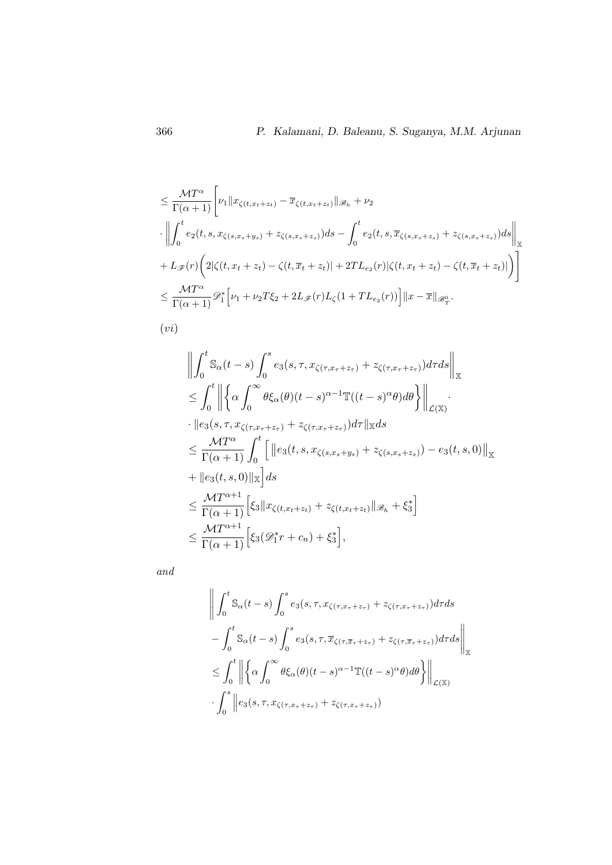$$
\leq \frac{\mathcal{M}T^{\alpha}}{\Gamma(\alpha+1)} \Bigg[ \nu_1 \|x_{\zeta(t,x_t+z_t)} - \overline{x}_{\zeta(t,x_t+z_t)}\|_{\mathcal{B}_h} + \nu_2
$$
  
\n
$$
\cdot \Bigg\| \int_0^t e_2(t,s,x_{\zeta(s,x_s+y_s)} + z_{\zeta(s,x_s+z_s)}) ds - \int_0^t e_2(t,s,\overline{x}_{\zeta(s,x_s+z_s)} + z_{\zeta(s,x_s+z_s)}) ds \Bigg\|_X
$$
  
\n
$$
+ L_{\mathscr{F}}(r) \Big( 2|\zeta(t,x_t+z_t) - \zeta(t,\overline{x}_t+z_t)| + 2TL_{e_2}(r)|\zeta(t,x_t+z_t) - \zeta(t,\overline{x}_t+z_t)| \Big) \Bigg]
$$
  
\n
$$
\leq \frac{\mathcal{M}T^{\alpha}}{\Gamma(\alpha+1)} \mathscr{D}_1^* \Big[ \nu_1 + \nu_2 T\xi_2 + 2L_{\mathscr{F}}(r)L_{\zeta}(1+TL_{e_2}(r)) \Big] \|x - \overline{x}\|_{\mathcal{B}_T^0}.
$$

$$
(vi)
$$

$$
\left\| \int_{0}^{t} \mathbb{S}_{\alpha}(t-s) \int_{0}^{s} e_{3}(s, \tau, x_{\zeta(\tau, x_{\tau}+z_{\tau})}+z_{\zeta(\tau, x_{\tau}+z_{\tau})}) d\tau ds \right\|_{\mathbb{X}}
$$
  
\n
$$
\leq \int_{0}^{t} \left\| \left\{ \alpha \int_{0}^{\infty} \theta \xi_{\alpha}(\theta)(t-s)^{\alpha-1} \mathbb{T}((t-s)^{\alpha}\theta) d\theta \right\} \right\|_{\mathcal{L}(\mathbb{X})} \cdot \left\| e_{3}(s, \tau, x_{\zeta(\tau, x_{\tau}+z_{\tau})}+z_{\zeta(\tau, x_{\tau}+z_{\tau})}) d\tau \right\|_{\mathbb{X}} ds
$$
  
\n
$$
\leq \frac{MT^{\alpha}}{\Gamma(\alpha+1)} \int_{0}^{t} \left[ \left\| e_{3}(t, s, x_{\zeta(s, x_{s}+y_{s})}+z_{\zeta(s, x_{s}+z_{s})})-e_{3}(t, s, 0) \right\|_{\mathbb{X}} + \left\| e_{3}(t, s, 0) \right\|_{\mathbb{X}} \right] ds
$$
  
\n
$$
\leq \frac{MT^{\alpha+1}}{\Gamma(\alpha+1)} \left[ \xi_{3} \| x_{\zeta(t, x_{t}+z_{t})}+z_{\zeta(t, x_{t}+z_{t})} \|_{\mathscr{B}_{h}} + \xi_{3}^{*} \right]
$$
  
\n
$$
\leq \frac{MT^{\alpha+1}}{\Gamma(\alpha+1)} \left[ \xi_{3}(\mathscr{D}_{1}^{*}r + c_{n}) + \xi_{3}^{*} \right],
$$

and

$$
\left\| \int_{0}^{t} \mathbb{S}_{\alpha}(t-s) \int_{0}^{s} e_{3}(s,\tau,x_{\zeta(\tau,x_{\tau}+z_{\tau})}+z_{\zeta(\tau,x_{\tau}+z_{\tau})})d\tau ds \right\|_{\mathbb{X}} - \int_{0}^{t} \mathbb{S}_{\alpha}(t-s) \int_{0}^{s} e_{3}(s,\tau,\overline{x}_{\zeta(\tau,\overline{x}_{\tau}+z_{\tau})}+z_{\zeta(\tau,\overline{x}_{\tau}+z_{\tau})})d\tau ds \right\|_{\mathbb{X}} \leq \int_{0}^{t} \left\| \left\{ \alpha \int_{0}^{\infty} \theta \xi_{\alpha}(\theta)(t-s)^{\alpha-1} \mathbb{T}((t-s)^{\alpha}\theta) d\theta \right\} \right\|_{\mathcal{L}(\mathbb{X})} \cdot \int_{0}^{s} \left\| e_{3}(s,\tau,x_{\zeta(\tau,x_{\tau}+z_{\tau})}+z_{\zeta(\tau,x_{\tau}+z_{\tau})}) \right\|
$$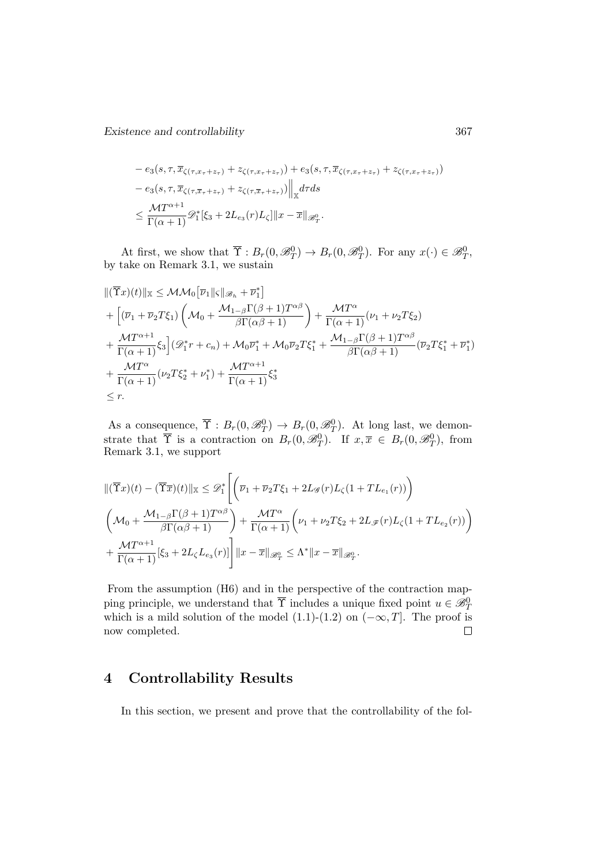Existence and controllability 367

$$
-e_3(s, \tau, \overline{x}_{\zeta(\tau, x_\tau + z_\tau)} + z_{\zeta(\tau, x_\tau + z_\tau)}) + e_3(s, \tau, \overline{x}_{\zeta(\tau, x_\tau + z_\tau)} + z_{\zeta(\tau, x_\tau + z_\tau)})
$$
  

$$
-e_3(s, \tau, \overline{x}_{\zeta(\tau, \overline{x}_\tau + z_\tau)} + z_{\zeta(\tau, \overline{x}_\tau + z_\tau)}) \Big\|_{\mathbb{X}} d\tau ds
$$
  

$$
\leq \frac{\mathcal{M}T^{\alpha+1}}{\Gamma(\alpha+1)} \mathscr{D}_1^* [\xi_3 + 2L_{e_3}(r)L_{\zeta}] \|x - \overline{x}\|_{\mathscr{B}_T^0}.
$$

At first, we show that  $\overline{\Upsilon}: B_r(0, \mathcal{B}_T^0) \to B_r(0, \mathcal{B}_T^0)$ . For any  $x(\cdot) \in \mathcal{B}_T^0$ , by take on Remark 3.1, we sustain

$$
\begin{split}\n&\|(\overline{\Upsilon}x)(t)\|_{\mathbb{X}} \leq \mathcal{MM}_0\big[\overline{\nu}_1\|\varsigma\|_{\mathscr{B}_h} + \overline{\nu}_1^*\big] \\
&+ \Big[(\overline{\nu}_1 + \overline{\nu}_2 T\xi_1)\left(\mathcal{M}_0 + \frac{\mathcal{M}_{1-\beta}\Gamma(\beta+1)T^{\alpha\beta}}{\beta\Gamma(\alpha\beta+1)}\right) + \frac{\mathcal{M}T^{\alpha}}{\Gamma(\alpha+1)}(\nu_1 + \nu_2 T\xi_2) \\
&+ \frac{\mathcal{M}T^{\alpha+1}}{\Gamma(\alpha+1)}\xi_3\Big](\mathscr{D}_1^*r + c_n) + \mathcal{M}_0\overline{\nu}_1^* + \mathcal{M}_0\overline{\nu}_2 T\xi_1^* + \frac{\mathcal{M}_{1-\beta}\Gamma(\beta+1)T^{\alpha\beta}}{\beta\Gamma(\alpha\beta+1)}(\overline{\nu}_2 T\xi_1^* + \overline{\nu}_1^*) \\
&+ \frac{\mathcal{M}T^{\alpha}}{\Gamma(\alpha+1)}(\nu_2 T\xi_2^* + \nu_1^*) + \frac{\mathcal{M}T^{\alpha+1}}{\Gamma(\alpha+1)}\xi_3^* \\
&\leq r.\n\end{split}
$$

As a consequence,  $\overline{\Upsilon}: B_r(0, \mathscr{B}_T^0) \to B_r(0, \mathscr{B}_T^0)$ . At long last, we demonstrate that  $\overline{\Upsilon}$  is a contraction on  $B_r(0, \mathscr{B}_T^0)$ . If  $x, \overline{x} \in B_r(0, \mathscr{B}_T^0)$ , from Remark 3.1, we support

$$
\begin{split}\n\|(\overline{\Upsilon}x)(t) - (\overline{\Upsilon}\overline{x})(t)\|_{\mathbb{X}} &\leq \mathscr{D}_{1}^{*}\left[\left(\overline{\nu}_{1} + \overline{\nu}_{2}T\xi_{1} + 2L_{\mathscr{G}}(r)L_{\zeta}(1+TL_{e_{1}}(r))\right)\right. \\
\left(\mathcal{M}_{0} + \frac{\mathcal{M}_{1-\beta}\Gamma(\beta+1)T^{\alpha\beta}}{\beta\Gamma(\alpha\beta+1)}\right) + \frac{\mathcal{M}T^{\alpha}}{\Gamma(\alpha+1)}\left(\nu_{1} + \nu_{2}T\xi_{2} + 2L_{\mathscr{F}}(r)L_{\zeta}(1+TL_{e_{2}}(r))\right) \\
&\quad + \frac{\mathcal{M}T^{\alpha+1}}{\Gamma(\alpha+1)}[\xi_{3} + 2L_{\zeta}L_{e_{3}}(r)]\right] \|x - \overline{x}\|_{\mathscr{B}_{T}^{0}} &\leq \Lambda^{*} \|x - \overline{x}\|_{\mathscr{B}_{T}^{0}}.\n\end{split}
$$

From the assumption (H6) and in the perspective of the contraction mapping principle, we understand that  $\overline{\Upsilon}$  includes a unique fixed point  $u \in \mathscr{B}_{\Upsilon}^0$ which is a mild solution of the model (1.1)-(1.2) on  $(-\infty, T]$ . The proof is now completed.  $\Box$ 

## 4 Controllability Results

In this section, we present and prove that the controllability of the fol-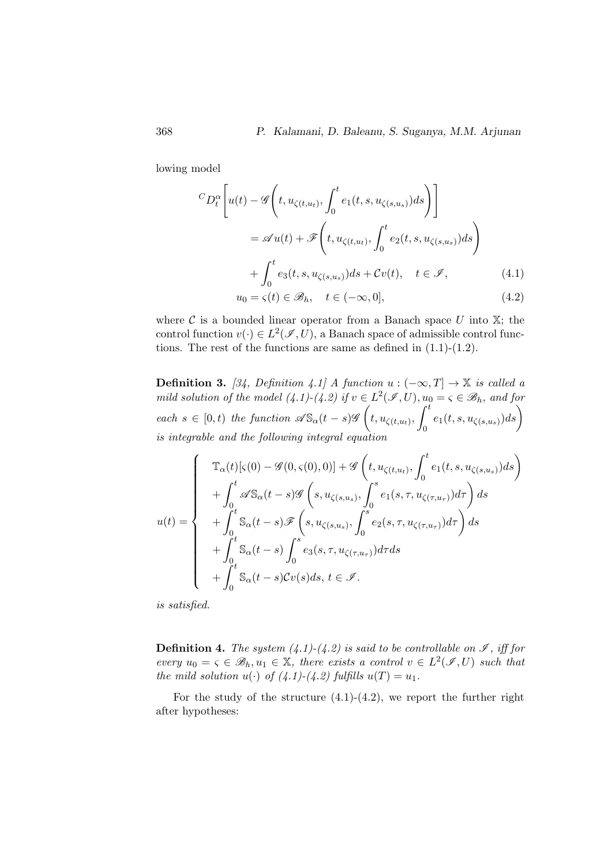lowing model

$$
{}^{C}D_{t}^{\alpha}\left[u(t)-\mathscr{G}\left(t,u_{\zeta(t,u_{t})},\int_{0}^{t}e_{1}(t,s,u_{\zeta(s,u_{s})})ds\right)\right]
$$

$$
=\mathscr{A}u(t)+\mathscr{F}\left(t,u_{\zeta(t,u_{t})},\int_{0}^{t}e_{2}(t,s,u_{\zeta(s,u_{s})})ds\right)
$$

$$
+\int_{0}^{t}e_{3}(t,s,u_{\zeta(s,u_{s})})ds+Cv(t), \quad t\in\mathscr{I}, \tag{4.1}
$$

$$
u_{0}=\varsigma(t)\in\mathscr{B}_{h}, \quad t\in(-\infty,0], \tag{4.2}
$$

where  $\mathcal C$  is a bounded linear operator from a Banach space  $U$  into  $\mathbb X$ ; the control function  $v(\cdot) \in L^2(\mathscr{I}, U)$ , a Banach space of admissible control functions. The rest of the functions are same as defined in  $(1.1)-(1.2)$ .

**Definition 3.** [34, Definition 4.1] A function  $u$  :  $(-\infty, T]$  → X is called a mild solution of the model  $(4.1)-(4.2)$  if  $v \in L^2(\mathscr{I},U)$ ,  $u_0 = \varsigma \in \mathscr{B}_h$ , and for each  $s \in [0, t)$  the function  $\mathscr{A}S_{\alpha}(t-s)\mathscr{G}\left(t, u_{\zeta(t,u_t)},\right)^t$  $\int_0^t e_1(t,s,u_{\zeta(s,u_s)})ds\bigg)$ is integrable and the following integral equation

$$
u(t) = \begin{cases} \mathbb{T}_{\alpha}(t)[\varsigma(0) - \mathcal{G}(0,\varsigma(0),0)] + \mathcal{G}\left(t, u_{\zeta(t,u_t)}, \int_0^t e_1(t,s, u_{\zeta(s,u_s)})ds\right) \\ + \int_0^t \mathcal{A}S_{\alpha}(t-s)\mathcal{G}\left(s, u_{\zeta(s,u_s)}, \int_0^s e_1(s,\tau, u_{\zeta(\tau,u_\tau)})d\tau\right)ds \\ + \int_0^t S_{\alpha}(t-s)\mathcal{F}\left(s, u_{\zeta(s,u_s)}, \int_0^s e_2(s,\tau, u_{\zeta(\tau,u_\tau)})d\tau\right)ds \\ + \int_0^t S_{\alpha}(t-s)\int_0^s e_3(s,\tau, u_{\zeta(\tau,u_\tau)})d\tau ds \\ + \int_0^t S_{\alpha}(t-s)\mathcal{C}v(s)ds, t \in \mathcal{I}.\end{cases}
$$

is satisfied.

**Definition 4.** The system  $(4.1)-(4.2)$  is said to be controllable on  $\mathcal{I}$ , iff for every  $u_0 = \varsigma \in \mathscr{B}_h, u_1 \in \mathbb{X}$ , there exists a control  $v \in L^2(\mathscr{I}, U)$  such that the mild solution  $u(\cdot)$  of  $(4.1)-(4.2)$  fulfills  $u(T) = u_1$ .

For the study of the structure  $(4.1)-(4.2)$ , we report the further right after hypotheses: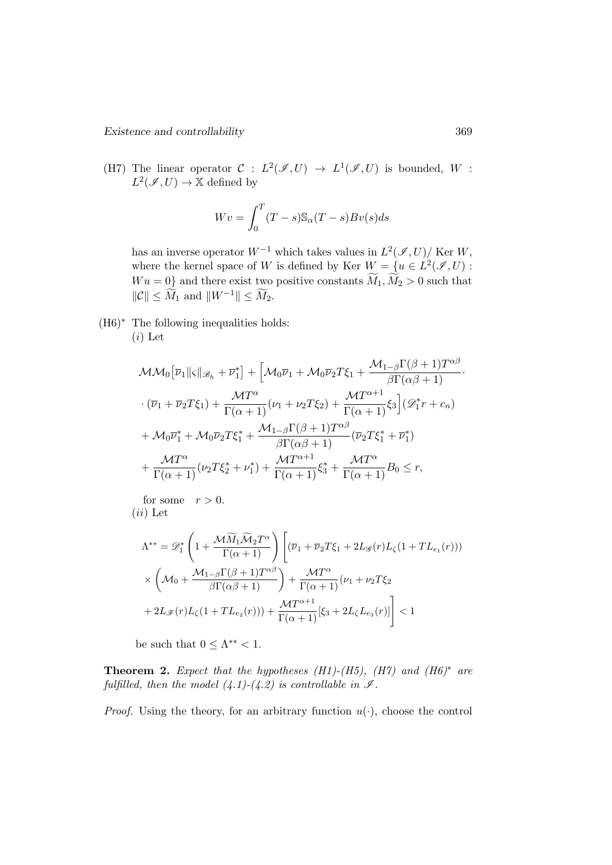(H7) The linear operator  $C: L^2(\mathscr{I},U) \to L^1(\mathscr{I},U)$  is bounded, W:  $L^2(\mathscr{I},U) \to \mathbb{X}$  defined by

$$
Wv = \int_0^T (T - s) \mathbb{S}_{\alpha} (T - s) Bv(s) ds
$$

has an inverse operator  $W^{-1}$  which takes values in  $L^2(\mathscr{I}, U)/$  Ker W, where the kernel space of W is defined by Ker  $W = \{u \in L^2(\mathscr{I},U) :$  $Wu = 0$  and there exist two positive constants  $\widetilde{M}_1, \widetilde{M}_2 > 0$  such that  $\|\mathcal{C}\| \le \widetilde{M}_1$  and  $\|W^{-1}\| \le \widetilde{M}_2$ .

(H6)<sup>∗</sup> The following inequalities holds:  $(i)$  Let

$$
\mathcal{MM}_0[\overline{\nu}_1 \| \varsigma \|_{\mathscr{B}_h} + \overline{\nu}_1^*] + [\mathcal{M}_0 \overline{\nu}_1 + \mathcal{M}_0 \overline{\nu}_2 T \xi_1 + \frac{\mathcal{M}_{1-\beta} \Gamma(\beta + 1) T^{\alpha \beta}}{\beta \Gamma(\alpha \beta + 1)} \cdot \frac{\mathcal{M} T^{\alpha}}{\Gamma(\alpha + 1)} + \frac{\mathcal{M} T^{\alpha}}{\Gamma(\alpha + 1)} (\nu_1 + \nu_2 T \xi_2) + \frac{\mathcal{M} T^{\alpha + 1}}{\Gamma(\alpha + 1)} \xi_3] (\mathscr{D}_1^* r + c_n) + \mathcal{M}_0 \overline{\nu}_1^* + \mathcal{M}_0 \overline{\nu}_2 T \xi_1^* + \frac{\mathcal{M}_{1-\beta} \Gamma(\beta + 1) T^{\alpha \beta}}{\beta \Gamma(\alpha \beta + 1)} (\overline{\nu}_2 T \xi_1^* + \overline{\nu}_1^*) + \frac{\mathcal{M} T^{\alpha}}{\Gamma(\alpha + 1)} (\nu_2 T \xi_2^* + \nu_1^*) + \frac{\mathcal{M} T^{\alpha + 1}}{\Gamma(\alpha + 1)} \xi_3^* + \frac{\mathcal{M} T^{\alpha}}{\Gamma(\alpha + 1)} B_0 \le r,
$$

for some  $r > 0$ .  $(ii)$  Let

$$
\Lambda^{**} = \mathscr{D}_1^* \left( 1 + \frac{\mathcal{M}\widetilde{M}_1 \widetilde{\mathcal{M}}_2 T^{\alpha}}{\Gamma(\alpha + 1)} \right) \left[ (\overline{\nu}_1 + \overline{\nu}_2 T \xi_1 + 2L_{\mathscr{G}}(r) L_{\zeta} (1 + TL_{e_1}(r))) \right] \times \left( \mathcal{M}_0 + \frac{\mathcal{M}_{1-\beta} \Gamma(\beta + 1) T^{\alpha \beta}}{\beta \Gamma(\alpha \beta + 1)} \right) + \frac{\mathcal{M} T^{\alpha}}{\Gamma(\alpha + 1)} (\nu_1 + \nu_2 T \xi_2) + 2L_{\mathscr{F}}(r) L_{\zeta} (1 + TL_{e_2}(r))) + \frac{\mathcal{M} T^{\alpha + 1}}{\Gamma(\alpha + 1)} [\xi_3 + 2L_{\zeta} L_{e_3}(r)] \right] < 1
$$

be such that  $0 \leq \Lambda^{**} < 1$ .

**Theorem 2.** Expect that the hypotheses  $(H1)-(H5)$ ,  $(H7)$  and  $(H6)^*$  are fulfilled, then the model  $(4.1)-(4.2)$  is controllable in  $\mathcal{I}$ .

*Proof.* Using the theory, for an arbitrary function  $u(\cdot)$ , choose the control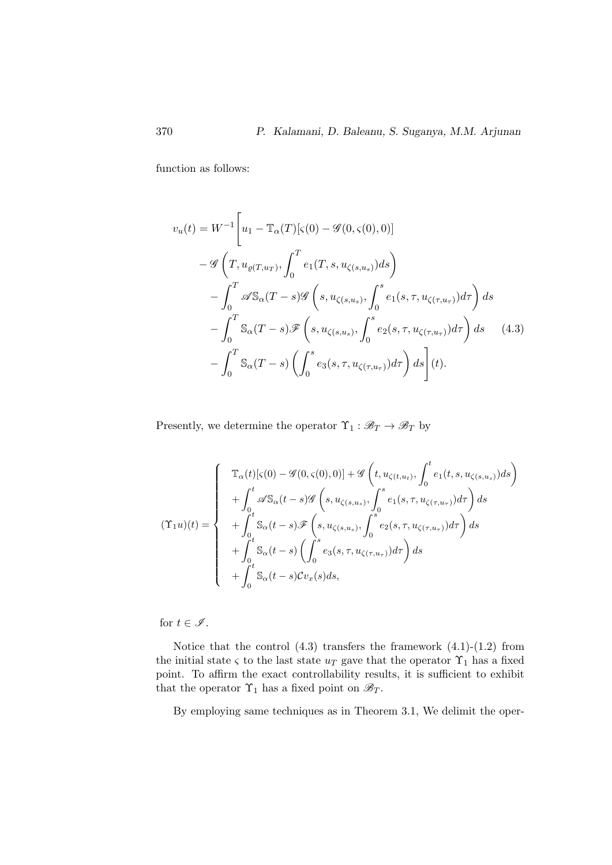function as follows:

$$
v_u(t) = W^{-1} \left[ u_1 - \mathbb{T}_{\alpha}(T) [\varsigma(0) - \mathcal{G}(0, \varsigma(0), 0)] - \mathcal{G} \left( T, u_{\varrho(T, u_T)}, \int_0^T e_1(T, s, u_{\zeta(s, u_s)}) ds \right) - \int_0^T \mathcal{A} \mathbb{S}_{\alpha}(T - s) \mathcal{G} \left( s, u_{\zeta(s, u_s)}, \int_0^s e_1(s, \tau, u_{\zeta(\tau, u_T)}) d\tau \right) ds - \int_0^T \mathbb{S}_{\alpha}(T - s) \mathcal{F} \left( s, u_{\zeta(s, u_s)}, \int_0^s e_2(s, \tau, u_{\zeta(\tau, u_T)}) d\tau \right) ds \quad (4.3)
$$

$$
- \int_0^T \mathbb{S}_{\alpha}(T - s) \left( \int_0^s e_3(s, \tau, u_{\zeta(\tau, u_T)}) d\tau \right) ds \right] (t).
$$

Presently, we determine the operator  $\Upsilon_1 : \mathscr{B}_T \to \mathscr{B}_T$  by

$$
(\Upsilon_1 u)(t) = \begin{cases} \mathbb{T}_{\alpha}(t)[\varsigma(0) - \mathcal{G}(0,\varsigma(0),0)] + \mathcal{G}\left(t, u_{\zeta(t,u_t)}, \int_0^t e_1(t,s, u_{\zeta(s,u_s)})ds\right) \\ + \int_0^t \mathcal{A} \mathbb{S}_{\alpha}(t-s) \mathcal{G}\left(s, u_{\zeta(s,u_s)}, \int_0^s e_1(s,\tau, u_{\zeta(\tau,u_\tau)})d\tau\right) ds \\ + \int_0^t \mathbb{S}_{\alpha}(t-s) \mathcal{F}\left(s, u_{\zeta(s,u_s)}, \int_0^s e_2(s,\tau, u_{\zeta(\tau,u_\tau)})d\tau\right) ds \\ + \int_0^t \mathbb{S}_{\alpha}(t-s) \left(\int_0^s e_3(s,\tau, u_{\zeta(\tau,u_\tau)})d\tau\right) ds \\ + \int_0^t \mathbb{S}_{\alpha}(t-s) \mathcal{C}v_x(s)ds, \end{cases}
$$

for  $t \in \mathscr{I}$ .

Notice that the control  $(4.3)$  transfers the framework  $(4.1)-(1.2)$  from the initial state  $\varsigma$  to the last state  $u_T$  gave that the operator  $\Upsilon_1$  has a fixed point. To affirm the exact controllability results, it is sufficient to exhibit that the operator  $\Upsilon_1$  has a fixed point on  $\mathscr{B}_T.$ 

By employing same techniques as in Theorem 3.1, We delimit the oper-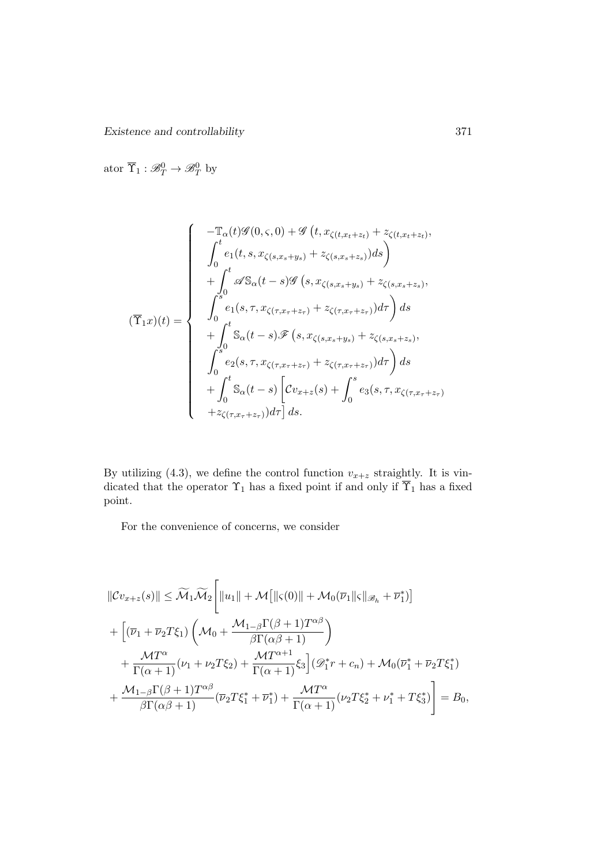Existence and controllability 371

ator  $\overline{\Upsilon}_1 : \mathcal{B}_T^0 \to \mathcal{B}_T^0$  by

$$
(\overline{\Upsilon}_{1}x)(t) = \begin{cases}\n-\mathbb{T}_{\alpha}(t)\mathscr{G}(0,\varsigma,0) + \mathscr{G}(t,x_{\zeta(t,x_{t}+z_{t})} + z_{\zeta(t,x_{t}+z_{t})}, \\
\int_{0}^{t} e_{1}(t,s,x_{\zeta(s,x_{s}+y_{s})} + z_{\zeta(s,x_{s}+z_{s})})ds \\
+\int_{0}^{t} \mathscr{A}S_{\alpha}(t-s)\mathscr{G}(s,x_{\zeta(s,x_{s}+y_{s})} + z_{\zeta(s,x_{s}+z_{s})}, \\
\int_{0}^{s} e_{1}(s,\tau,x_{\zeta(\tau,x_{\tau}+z_{\tau})} + z_{\zeta(\tau,x_{\tau}+z_{\tau})})d\tau\right)ds \\
+\int_{0}^{t} S_{\alpha}(t-s)\mathscr{F}(s,x_{\zeta(s,x_{s}+y_{s})} + z_{\zeta(s,x_{s}+z_{s})}, \\
\int_{0}^{s} e_{2}(s,\tau,x_{\zeta(\tau,x_{\tau}+z_{\tau})} + z_{\zeta(\tau,x_{\tau}+z_{\tau})})d\tau\right)ds \\
+\int_{0}^{t} S_{\alpha}(t-s)\left[\mathcal{C}v_{x+z}(s) + \int_{0}^{s} e_{3}(s,\tau,x_{\zeta(\tau,x_{\tau}+z_{\tau})})d\tau\right]ds.\n\end{cases}
$$

By utilizing (4.3), we define the control function  $v_{x+z}$  straightly. It is vindicated that the operator  $\Upsilon_1$  has a fixed point if and only if  $\Upsilon_1$  has a fixed point.

For the convenience of concerns, we consider

$$
\begin{split}\n||\mathcal{C}v_{x+z}(s)|| &\leq \widetilde{\mathcal{M}}_1 \widetilde{\mathcal{M}}_2 \Bigg[ \|u_1\| + \mathcal{M} \big[ \| \varsigma(0) \| + \mathcal{M}_0(\overline{\nu}_1 \| \varsigma \|_{\mathcal{B}_h} + \overline{\nu}_1^*) \big] \\
&+ \Big[ (\overline{\nu}_1 + \overline{\nu}_2 T \xi_1) \left( \mathcal{M}_0 + \frac{\mathcal{M}_{1-\beta} \Gamma(\beta + 1) T^{\alpha \beta}}{\beta \Gamma(\alpha \beta + 1)} \right) \\
&+ \frac{\mathcal{M} T^{\alpha}}{\Gamma(\alpha + 1)} (\nu_1 + \nu_2 T \xi_2) + \frac{\mathcal{M} T^{\alpha + 1}}{\Gamma(\alpha + 1)} \xi_3 \Big] (\mathcal{D}_1^* r + c_n) + \mathcal{M}_0(\overline{\nu}_1^* + \overline{\nu}_2 T \xi_1^*) \\
&+ \frac{\mathcal{M}_{1-\beta} \Gamma(\beta + 1) T^{\alpha \beta}}{\beta \Gamma(\alpha \beta + 1)} (\overline{\nu}_2 T \xi_1^* + \overline{\nu}_1^*) + \frac{\mathcal{M} T^{\alpha}}{\Gamma(\alpha + 1)} (\nu_2 T \xi_2^* + \nu_1^* + T \xi_3^*) \Bigg] = B_0, \n\end{split}
$$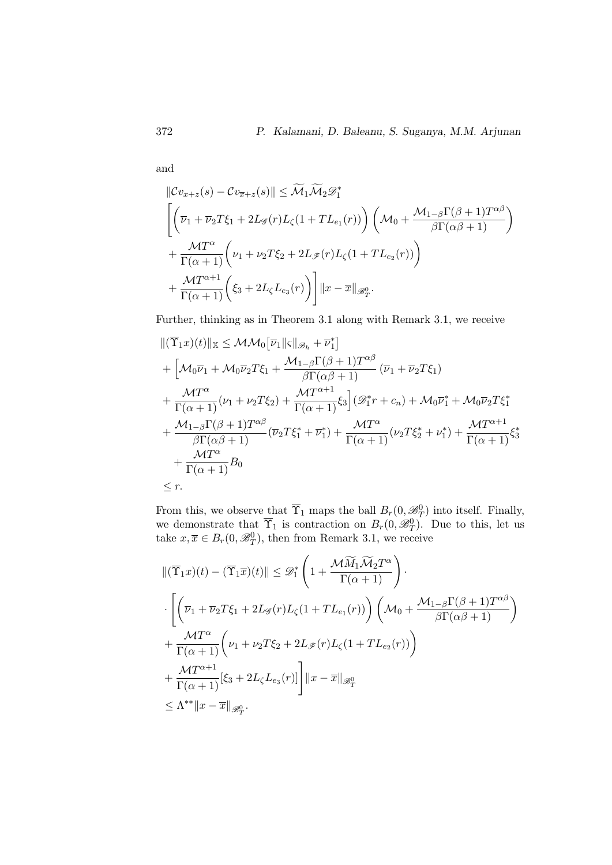and

$$
\|Cv_{x+z}(s) - Cv_{\overline{x}+z}(s)\| \leq \widetilde{\mathcal{M}}_1 \widetilde{\mathcal{M}}_2 \mathcal{D}_1^*
$$
  

$$
\left[ \left(\overline{\nu}_1 + \overline{\nu}_2 T \xi_1 + 2L_{\mathscr{G}}(r) L_{\zeta}(1 + TL_{e_1}(r)) \right) \left(\mathcal{M}_0 + \frac{\mathcal{M}_{1-\beta} \Gamma(\beta + 1) T^{\alpha \beta}}{\beta \Gamma(\alpha \beta + 1)}\right) + \frac{\mathcal{M} T^{\alpha}}{\Gamma(\alpha + 1)} \left(\nu_1 + \nu_2 T \xi_2 + 2L_{\mathscr{F}}(r) L_{\zeta}(1 + TL_{e_2}(r))\right) + \frac{\mathcal{M} T^{\alpha + 1}}{\Gamma(\alpha + 1)} \left(\xi_3 + 2L_{\zeta} L_{e_3}(r)\right) \right] \|x - \overline{x}\|_{\mathscr{B}_T^0}.
$$

Further, thinking as in Theorem 3.1 along with Remark 3.1, we receive

$$
\begin{split}\n&\|(\overline{\Upsilon}_{1}x)(t)\|_{\mathbb{X}} \leq \mathcal{MM}_{0}\big[\overline{\nu}_{1}\|_{S}\|_{\mathscr{B}_{h}} + \overline{\nu}_{1}^{*}\big] \\
&+ \Big[\mathcal{M}_{0}\overline{\nu}_{1} + \mathcal{M}_{0}\overline{\nu}_{2}T\xi_{1} + \frac{\mathcal{M}_{1-\beta}\Gamma(\beta+1)T^{\alpha\beta}}{\beta\Gamma(\alpha\beta+1)}(\overline{\nu}_{1} + \overline{\nu}_{2}T\xi_{1}) \\
&+ \frac{\mathcal{M}T^{\alpha}}{\Gamma(\alpha+1)}(\nu_{1} + \nu_{2}T\xi_{2}) + \frac{\mathcal{M}T^{\alpha+1}}{\Gamma(\alpha+1)}\xi_{3}\big] (\mathscr{D}_{1}^{*}r + c_{n}) + \mathcal{M}_{0}\overline{\nu}_{1}^{*} + \mathcal{M}_{0}\overline{\nu}_{2}T\xi_{1}^{*} \\
&+ \frac{\mathcal{M}_{1-\beta}\Gamma(\beta+1)T^{\alpha\beta}}{\beta\Gamma(\alpha\beta+1)}(\overline{\nu}_{2}T\xi_{1}^{*} + \overline{\nu}_{1}^{*}) + \frac{\mathcal{M}T^{\alpha}}{\Gamma(\alpha+1)}(\nu_{2}T\xi_{2}^{*} + \nu_{1}^{*}) + \frac{\mathcal{M}T^{\alpha+1}}{\Gamma(\alpha+1)}\xi_{3}^{*} \\
&+ \frac{\mathcal{M}T^{\alpha}}{\Gamma(\alpha+1)}B_{0} \\
&\leq r.\n\end{split}
$$

From this, we observe that  $\overline{\Upsilon}_1$  maps the ball  $B_r(0, \mathcal{B}_T^0)$  into itself. Finally, we demonstrate that  $\overline{\Upsilon}_1$  is contraction on  $B_r(0, \mathscr{B}_T^0)$ . Due to this, let us take  $x, \overline{x} \in B_r(0, \mathcal{B}_T^0)$ , then from Remark 3.1, we receive

$$
\begin{split}\n\|(\overline{\Upsilon}_{1}x)(t) - (\overline{\Upsilon}_{1}\overline{x})(t)\| &\leq \mathscr{D}_{1}^{*}\left(1 + \frac{\mathcal{M}\widetilde{M}_{1}\widetilde{\mathcal{M}}_{2}T^{\alpha}}{\Gamma(\alpha+1)}\right). \\
&\cdot \left[\left(\overline{\nu}_{1} + \overline{\nu}_{2}T\xi_{1} + 2L_{\mathscr{G}}(r)L_{\zeta}(1+TL_{e_{1}}(r))\right)\left(\mathcal{M}_{0} + \frac{\mathcal{M}_{1-\beta}\Gamma(\beta+1)T^{\alpha\beta}}{\beta\Gamma(\alpha\beta+1)}\right) \right. \\
&\quad + \frac{\mathcal{M}T^{\alpha}}{\Gamma(\alpha+1)}\left(\nu_{1} + \nu_{2}T\xi_{2} + 2L_{\mathscr{F}}(r)L_{\zeta}(1+TL_{e_{2}}(r))\right) \\
&\quad + \frac{\mathcal{M}T^{\alpha+1}}{\Gamma(\alpha+1)}[\xi_{3} + 2L_{\zeta}L_{e_{3}}(r)]\right] \|x - \overline{x}\|_{\mathscr{B}_{T}^{0}} \\
&\leq \Lambda^{**} \|x - \overline{x}\|_{\mathscr{B}_{T}^{0}}.\n\end{split}
$$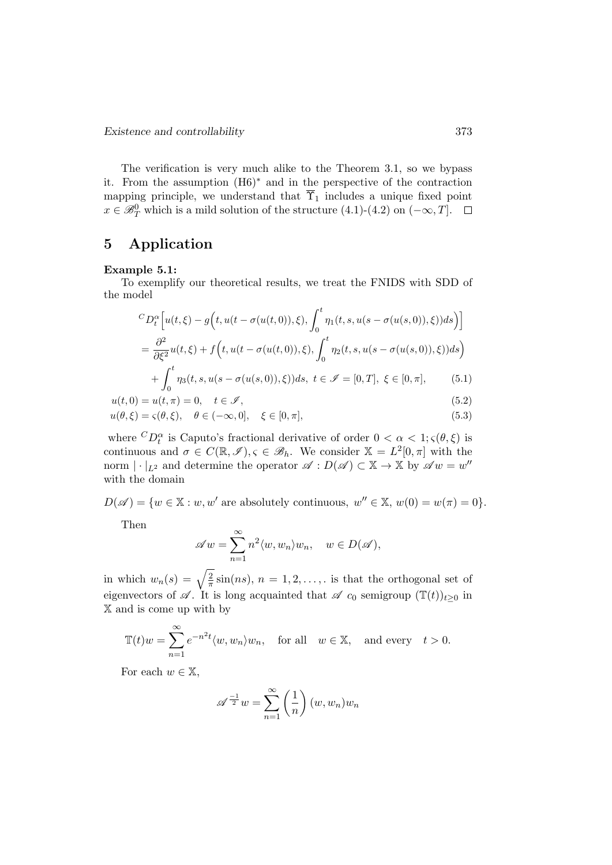The verification is very much alike to the Theorem 3.1, so we bypass it. From the assumption (H6)<sup>∗</sup> and in the perspective of the contraction mapping principle, we understand that  $\overline{\Upsilon}_1$  includes a unique fixed point  $x \in \mathscr{B}_T^0$  which is a mild solution of the structure  $(4.1)-(4.2)$  on  $(-\infty,T]$ .

#### 5 Application

#### Example 5.1:

To exemplify our theoretical results, we treat the FNIDS with SDD of the model

$$
{}^{C}D_t^{\alpha}\Big[u(t,\xi) - g\Big(t, u(t-\sigma(u(t,0)),\xi), \int_0^t \eta_1(t,s,u(s-\sigma(u(s,0)),\xi))ds\Big)\Big]
$$
  
= 
$$
\frac{\partial^2}{\partial \xi^2}u(t,\xi) + f\Big(t, u(t-\sigma(u(t,0)),\xi), \int_0^t \eta_2(t,s,u(s-\sigma(u(s,0)),\xi))ds\Big)
$$

$$
+\int_0^t \eta_3(t, s, u(s - \sigma(u(s, 0)), \xi)) ds, \ t \in \mathcal{I} = [0, T], \ \xi \in [0, \pi], \tag{5.1}
$$

$$
u(t,0) = u(t,\pi) = 0, \quad t \in \mathcal{I},
$$
\n(5.2)

$$
u(\theta,\xi) = \varsigma(\theta,\xi), \quad \theta \in (-\infty,0], \quad \xi \in [0,\pi], \tag{5.3}
$$

where  ${}^{C}D_t^{\alpha}$  is Caputo's fractional derivative of order  $0 < \alpha < 1; \varsigma(\theta, \xi)$  is continuous and  $\sigma \in C(\mathbb{R}, \mathscr{I}), \varsigma \in \mathscr{B}_h$ . We consider  $\mathbb{X} = L^2[0, \pi]$  with the norm  $|\cdot|_{L^2}$  and determine the operator  $\mathscr{A}: D(\mathscr{A}) \subset \mathbb{X} \to \mathbb{X}$  by  $\mathscr{A}w = w''$ with the domain

 $D(\mathscr{A}) = \{w \in \mathbb{X} : w, w' \text{ are absolutely continuous, } w'' \in \mathbb{X}, w(0) = w(\pi) = 0\}.$ 

Then

$$
\mathscr{A}w = \sum_{n=1}^{\infty} n^2 \langle w, w_n \rangle w_n, \quad w \in D(\mathscr{A}),
$$

in which  $w_n(s) = \sqrt{\frac{2}{\pi}}$  $\frac{2}{\pi}$  sin(*ns*),  $n = 1, 2, \ldots$ , is that the orthogonal set of eigenvectors of  $\mathscr A$ . It is long acquainted that  $\mathscr A$  c<sub>0</sub> semigroup  $(\mathbb{T}(t))_{t\geq0}$  in X and is come up with by

$$
\mathbb{T}(t)w = \sum_{n=1}^{\infty} e^{-n^2 t} \langle w, w_n \rangle w_n, \quad \text{for all} \quad w \in \mathbb{X}, \quad \text{and every} \quad t > 0.
$$

For each  $w \in \mathbb{X}$ ,

$$
\mathscr{A}^{\frac{-1}{2}}w = \sum_{n=1}^{\infty} \left(\frac{1}{n}\right)(w, w_n)w_n
$$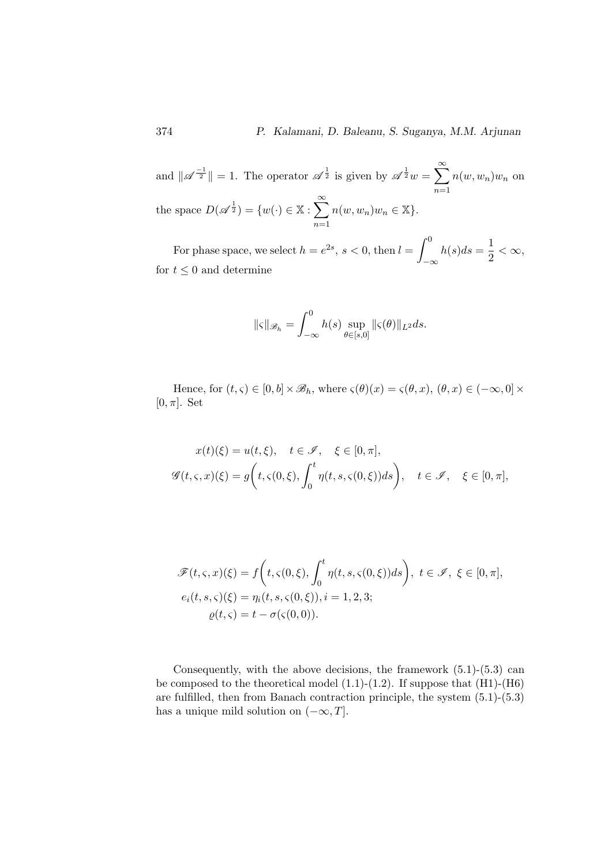374 P. Kalamani, D. Baleanu, S. Suganya, M.M. Arjunan

and  $\|\mathscr{A}^{-1}\| = 1$ . The operator  $\mathscr{A}^{\frac{1}{2}}$  is given by  $\mathscr{A}^{\frac{1}{2}}w = \sum_{n=1}^{\infty}$  $n=1$  $n(w, w_n)$  $w_n$  on the space  $D(\mathscr{A}^{\frac{1}{2}}) = \{w(\cdot) \in \mathbb{X} : \sum_{n=1}^{\infty} \mathbb{X} \}$  $n=1$  $n(w, w_n)w_n \in \mathbb{X}$ .

For phase space, we select  $h = e^{2s}$ ,  $s < 0$ , then  $l = \int_0^0$  $-\infty$  $h(s)ds=\frac{1}{2}$  $\frac{1}{2} < \infty$ , for  $t \leq 0$  and determine

$$
\|\varsigma\|_{\mathscr{B}_h} = \int_{-\infty}^0 h(s) \sup_{\theta \in [s,0]} \|\varsigma(\theta)\|_{L^2} ds.
$$

Hence, for  $(t, \varsigma) \in [0, b] \times \mathscr{B}_h$ , where  $\varsigma(\theta)(x) = \varsigma(\theta, x)$ ,  $(\theta, x) \in (-\infty, 0] \times$  $[0, \pi]$ . Set

$$
x(t)(\xi) = u(t,\xi), \quad t \in \mathcal{I}, \quad \xi \in [0,\pi],
$$
  

$$
\mathcal{G}(t,\varsigma,x)(\xi) = g\left(t,\varsigma(0,\xi), \int_0^t \eta(t,s,\varsigma(0,\xi))ds\right), \quad t \in \mathcal{I}, \quad \xi \in [0,\pi],
$$

$$
\mathscr{F}(t,\varsigma,x)(\xi) = f\left(t,\varsigma(0,\xi), \int_0^t \eta(t,s,\varsigma(0,\xi))ds\right), \ t \in \mathscr{I}, \ \xi \in [0,\pi],
$$
  

$$
e_i(t,s,\varsigma)(\xi) = \eta_i(t,s,\varsigma(0,\xi)), i = 1,2,3;
$$
  

$$
\varrho(t,\varsigma) = t - \sigma(\varsigma(0,0)).
$$

Consequently, with the above decisions, the framework  $(5.1)-(5.3)$  can be composed to the theoretical model  $(1.1)-(1.2)$ . If suppose that  $(H1)-(H6)$ are fulfilled, then from Banach contraction principle, the system (5.1)-(5.3) has a unique mild solution on  $(-\infty, T]$ .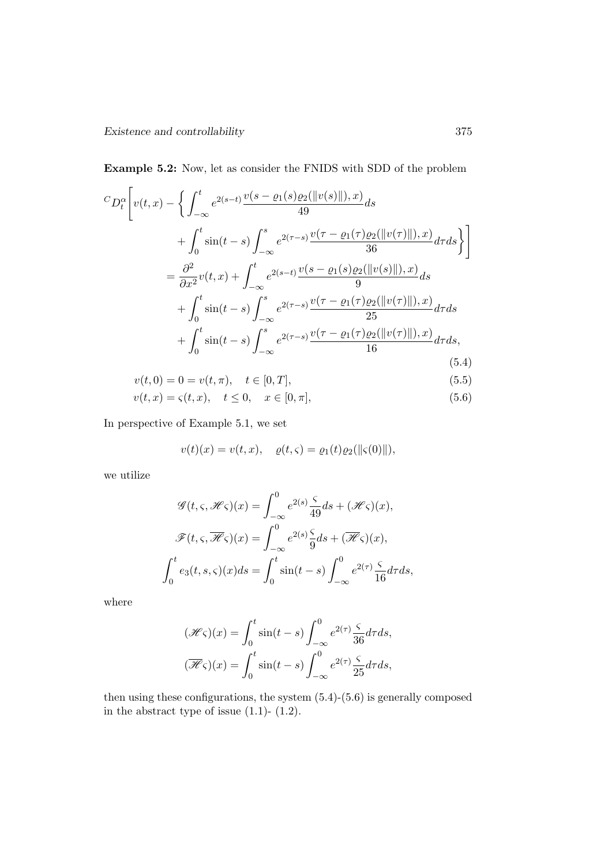Example 5.2: Now, let as consider the FNIDS with SDD of the problem

$$
{}^{C}D_{t}^{\alpha}\left[v(t,x)-\left\{\int_{-\infty}^{t}e^{2(s-t)}\frac{v(s-\varrho_{1}(s)\varrho_{2}(\|v(s)\|),x)}{49}ds\right.\right.+\int_{0}^{t}\sin(t-s)\int_{-\infty}^{s}e^{2(\tau-s)}\frac{v(\tau-\varrho_{1}(\tau)\varrho_{2}(\|v(\tau)\|),x)}{36}d\tau ds\right\}\right]=\frac{\partial^{2}}{\partial x^{2}}v(t,x)+\int_{-\infty}^{t}e^{2(s-t)}\frac{v(s-\varrho_{1}(s)\varrho_{2}(\|v(s)\|),x)}{9}ds+\int_{0}^{t}\sin(t-s)\int_{-\infty}^{s}e^{2(\tau-s)}\frac{v(\tau-\varrho_{1}(\tau)\varrho_{2}(\|v(\tau)\|),x)}{25}d\tau ds+\int_{0}^{t}\sin(t-s)\int_{-\infty}^{s}e^{2(\tau-s)}\frac{v(\tau-\varrho_{1}(\tau)\varrho_{2}(\|v(\tau)\|),x)}{16}d\tau ds,
$$
(5.4)

$$
v(t,0) = 0 = v(t,\pi), \quad t \in [0,T],
$$
\n(5.5)

$$
v(t, x) = \varsigma(t, x), \quad t \le 0, \quad x \in [0, \pi], \tag{5.6}
$$

In perspective of Example 5.1, we set

$$
v(t)(x) = v(t, x), \quad \rho(t, \varsigma) = \rho_1(t)\rho_2(||\varsigma(0)||),
$$

we utilize

$$
\mathcal{G}(t,\varsigma,\mathcal{H}\varsigma)(x) = \int_{-\infty}^{0} e^{2(s)} \frac{\varsigma}{49} ds + (\mathcal{H}\varsigma)(x),
$$

$$
\mathcal{F}(t,\varsigma,\overline{\mathcal{H}}\varsigma)(x) = \int_{-\infty}^{0} e^{2(s)} \frac{\varsigma}{9} ds + (\overline{\mathcal{H}}\varsigma)(x),
$$

$$
\int_{0}^{t} e_3(t,s,\varsigma)(x) ds = \int_{0}^{t} \sin(t-s) \int_{-\infty}^{0} e^{2(\tau)} \frac{\varsigma}{16} d\tau ds,
$$

where

$$
(\mathcal{H}\varsigma)(x) = \int_0^t \sin(t-s) \int_{-\infty}^0 e^{2(\tau)} \frac{\varsigma}{36} d\tau ds,
$$
  

$$
(\overline{\mathcal{H}}\varsigma)(x) = \int_0^t \sin(t-s) \int_{-\infty}^0 e^{2(\tau)} \frac{\varsigma}{25} d\tau ds,
$$

then using these configurations, the system (5.4)-(5.6) is generally composed in the abstract type of issue  $(1.1)$ -  $(1.2)$ .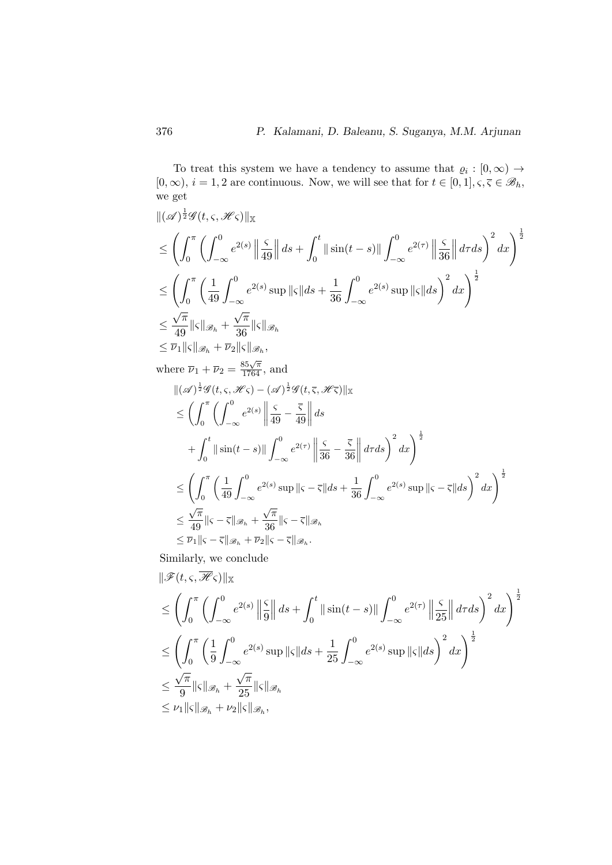To treat this system we have a tendency to assume that  $\varrho_i : [0, \infty) \to$  $[0, \infty), i = 1, 2$  are continuous. Now, we will see that for  $t \in [0, 1], \varsigma, \overline{\varsigma} \in \mathscr{B}_h$ , we get

$$
\begin{split}\n&\|(\mathscr{A})^{\frac{1}{2}}\mathscr{G}(t,\varsigma,\mathscr{H}\varsigma)\|_{\mathbb{X}} \\
&\leq \left(\int_0^\pi \left(\int_{-\infty}^0 e^{2(s)} \left\|\frac{\varsigma}{49}\right\| ds + \int_0^t \|\sin(t-s)\| \int_{-\infty}^0 e^{2(\tau)} \left\|\frac{\varsigma}{36}\right\| d\tau ds\right)^2 dx\right)^{\frac{1}{2}} \\
&\leq \left(\int_0^\pi \left(\frac{1}{49} \int_{-\infty}^0 e^{2(s)} \sup_{\delta} \| \varsigma \| ds + \frac{1}{36} \int_{-\infty}^0 e^{2(s)} \sup_{\delta} \| \varsigma \| ds\right)^2 dx\right)^{\frac{1}{2}} \\
&\leq \frac{\sqrt{\pi}}{49} \|\varsigma\|_{\mathscr{B}_h} + \frac{\sqrt{\pi}}{36} \|\varsigma\|_{\mathscr{B}_h} \\
&\leq \overline{\nu}_1 \|\varsigma\|_{\mathscr{B}_h} + \overline{\nu}_2 \|\varsigma\|_{\mathscr{B}_h}, \\
&\text{where } \overline{\nu}_1 + \overline{\nu}_2 = \frac{85\sqrt{\pi}}{1764}, \text{ and} \\
&\|(\mathscr{A})^{\frac{1}{2}}\mathscr{G}(t,\varsigma,\mathscr{H}\varsigma) - (\mathscr{A})^{\frac{1}{2}}\mathscr{G}(t,\varsigma,\mathscr{H}\varsigma)\|_{\mathbb{X}}\n\end{split}
$$

$$
\begin{split}\n&\|(\mathscr{A})^2 \mathscr{G}(t,\varsigma,\mathscr{H}\varsigma) - (\mathscr{A})^2 \mathscr{G}(t,\varsigma,\mathscr{H}\varsigma)\|_{\mathbb{X}} \\
&\leq \left(\int_0^\pi \left(\int_{-\infty}^0 e^{2(s)} \left\|\frac{\varsigma}{49} - \frac{\overline{\varsigma}}{49}\right\| ds\right. \\
&\left. + \int_0^t \|\sin(t-s)\| \int_{-\infty}^0 e^{2(\tau)} \left\|\frac{\varsigma}{36} - \frac{\overline{\varsigma}}{36}\right\| d\tau ds\right)^2 dx\right)^{\frac{1}{2}} \\
&\leq \left(\int_0^\pi \left(\frac{1}{49} \int_{-\infty}^0 e^{2(s)} \sup_{s \in \mathbb{R}} \| \varsigma - \overline{\varsigma} \| ds + \frac{1}{36} \int_{-\infty}^0 e^{2(s)} \sup_{s \in \mathbb{R}} \| \varsigma - \overline{\varsigma} \| ds\right)^2 dx\right)^{\frac{1}{2}} \\
&\leq \frac{\sqrt{\pi}}{49} \| \varsigma - \overline{\varsigma} \|_{\mathscr{B}_h} + \frac{\sqrt{\pi}}{36} \| \varsigma - \overline{\varsigma} \|_{\mathscr{B}_h} \\
&\leq \overline{\nu}_1 \| \varsigma - \overline{\varsigma} \|_{\mathscr{B}_h} + \overline{\nu}_2 \| \varsigma - \overline{\varsigma} \|_{\mathscr{B}_h}.\n\end{split}
$$

Similarly, we conclude

$$
\begin{split}\n&\|\mathscr{F}(t,\varsigma,\overline{\mathscr{H}}\varsigma)\|_{\mathbb{X}} \\
&\leq \left(\int_0^\pi \left(\int_{-\infty}^0 e^{2(s)} \left\|\frac{\varsigma}{9}\right\| ds + \int_0^t \|\sin(t-s)\| \int_{-\infty}^0 e^{2(\tau)} \left\|\frac{\varsigma}{25}\right\| d\tau ds\right)^2 dx\right)^{\frac{1}{2}} \\
&\leq \left(\int_0^\pi \left(\frac{1}{9} \int_{-\infty}^0 e^{2(s)} \sup_{\xi} \| \varsigma \| ds + \frac{1}{25} \int_{-\infty}^0 e^{2(s)} \sup_{\xi} \| \varsigma \| ds\right)^2 dx\right)^{\frac{1}{2}} \\
&\leq \frac{\sqrt{\pi}}{9} \| \varsigma \|_{\mathscr{B}_h} + \frac{\sqrt{\pi}}{25} \| \varsigma \|_{\mathscr{B}_h} \\
&\leq \nu_1 \| \varsigma \|_{\mathscr{B}_h} + \nu_2 \| \varsigma \|_{\mathscr{B}_h},\n\end{split}
$$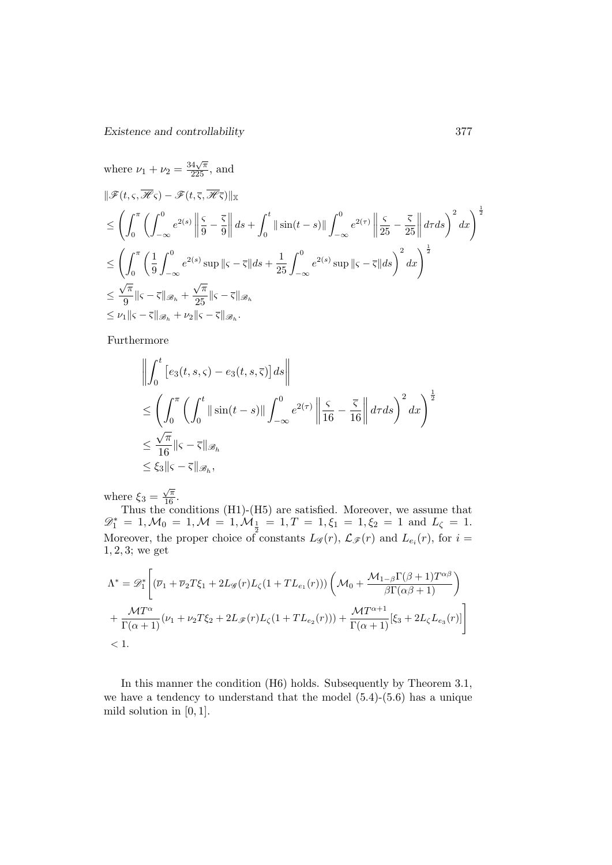Existence and controllability 377

where 
$$
\nu_1 + \nu_2 = \frac{34\sqrt{\pi}}{225}
$$
, and  
\n
$$
\|\mathscr{F}(t,\varsigma,\overline{\mathscr{H}}\varsigma) - \mathscr{F}(t,\overline{\varsigma},\overline{\mathscr{H}}\overline{\varsigma})\|_{\mathbb{X}}
$$
\n
$$
\leq \left(\int_0^{\pi} \left(\int_{-\infty}^0 e^{2(s)} \left\|\frac{\varsigma}{9} - \frac{\overline{\varsigma}}{9}\right\| ds + \int_0^t \|\sin(t-s)\| \int_{-\infty}^0 e^{2(\tau)} \left\|\frac{\varsigma}{25} - \frac{\overline{\varsigma}}{25}\right\| d\tau ds\right)^2 dx\right)^{\frac{1}{2}}
$$
\n
$$
\leq \left(\int_0^{\pi} \left(\frac{1}{9} \int_{-\infty}^0 e^{2(s)} \sup_{\|\varsigma\| \leq \tau \leq \|\zeta\| \right) ds + \frac{1}{25} \int_{-\infty}^0 e^{2(s)} \sup_{\|\varsigma\| \leq \tau \leq \|\zeta\| \right)^2} dx\right)^{\frac{1}{2}}
$$
\n
$$
\leq \frac{\sqrt{\pi}}{9} \|\varsigma - \overline{\varsigma}\|_{\mathscr{B}_h} + \frac{\sqrt{\pi}}{25} \|\varsigma - \overline{\varsigma}\|_{\mathscr{B}_h}
$$
\n
$$
\leq \nu_1 \|\varsigma - \overline{\varsigma}\|_{\mathscr{B}_h} + \nu_2 \|\varsigma - \overline{\varsigma}\|_{\mathscr{B}_h}.
$$

Furthermore

$$
\left\| \int_0^t \left[ e_3(t, s, \varsigma) - e_3(t, s, \overline{\varsigma}) \right] ds \right\|
$$
  
\n
$$
\leq \left( \int_0^{\pi} \left( \int_0^t \|\sin(t - s)\| \int_{-\infty}^0 e^{2(\tau)} \left\| \frac{\varsigma}{16} - \frac{\overline{\varsigma}}{16} \right\| d\tau ds \right)^2 dx \right)^{\frac{1}{2}}
$$
  
\n
$$
\leq \frac{\sqrt{\pi}}{16} \|\varsigma - \overline{\varsigma}\|_{\mathcal{B}_h}
$$
  
\n
$$
\leq \xi_3 \|\varsigma - \overline{\varsigma}\|_{\mathcal{B}_h},
$$

where  $\xi_3 =$  $\frac{\sqrt{\pi}}{16}$ .

Thus the conditions (H1)-(H5) are satisfied. Moreover, we assume that  $\mathscr{D}_1^* = 1, \mathcal{M}_0 = 1, \mathcal{M} = 1, \mathcal{M}_{\frac{1}{2}} = 1, T = 1, \xi_1 = 1, \xi_2 = 1 \text{ and } L_{\zeta} = 1.$ Moreover, the proper choice of constants  $L_{\mathscr{G}}(r)$ ,  $\mathcal{L}_{\mathscr{F}}(r)$  and  $L_{e_i}(r)$ , for  $i =$ 1, 2, 3; we get

$$
\Lambda^* = \mathscr{D}_1^* \Bigg[ (\overline{\nu}_1 + \overline{\nu}_2 T \xi_1 + 2L_{\mathscr{G}}(r) L_{\zeta}(1 + TL_{e_1}(r))) \left( \mathcal{M}_0 + \frac{\mathcal{M}_{1-\beta} \Gamma(\beta + 1) T^{\alpha \beta}}{\beta \Gamma(\alpha \beta + 1)} \right) + \frac{\mathcal{M} T^{\alpha}}{\Gamma(\alpha + 1)} (\nu_1 + \nu_2 T \xi_2 + 2L_{\mathscr{F}}(r) L_{\zeta}(1 + TL_{e_2}(r))) + \frac{\mathcal{M} T^{\alpha + 1}}{\Gamma(\alpha + 1)} [\xi_3 + 2L_{\zeta} L_{e_3}(r)] \Bigg] < 1.
$$

In this manner the condition (H6) holds. Subsequently by Theorem 3.1, we have a tendency to understand that the model (5.4)-(5.6) has a unique mild solution in  $[0, 1]$ .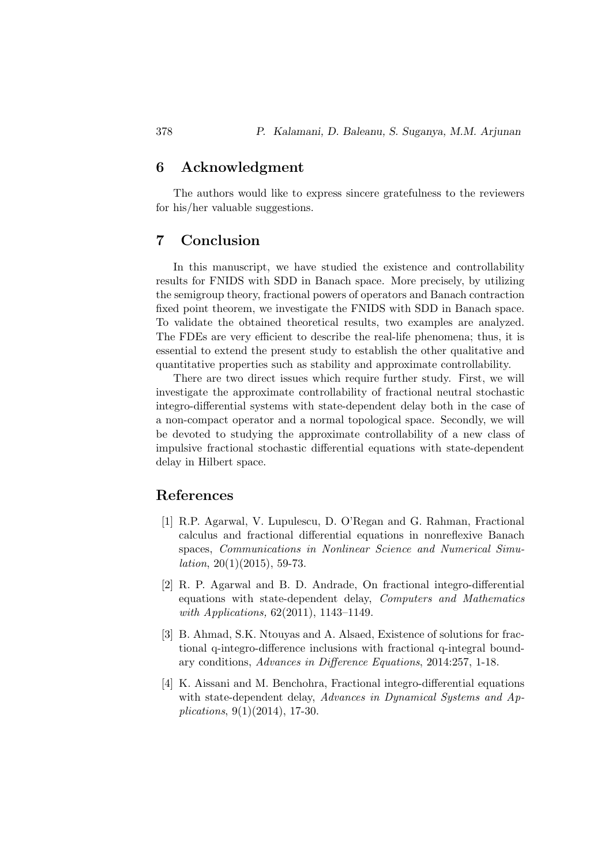## 6 Acknowledgment

The authors would like to express sincere gratefulness to the reviewers for his/her valuable suggestions.

#### 7 Conclusion

In this manuscript, we have studied the existence and controllability results for FNIDS with SDD in Banach space. More precisely, by utilizing the semigroup theory, fractional powers of operators and Banach contraction fixed point theorem, we investigate the FNIDS with SDD in Banach space. To validate the obtained theoretical results, two examples are analyzed. The FDEs are very efficient to describe the real-life phenomena; thus, it is essential to extend the present study to establish the other qualitative and quantitative properties such as stability and approximate controllability.

There are two direct issues which require further study. First, we will investigate the approximate controllability of fractional neutral stochastic integro-differential systems with state-dependent delay both in the case of a non-compact operator and a normal topological space. Secondly, we will be devoted to studying the approximate controllability of a new class of impulsive fractional stochastic differential equations with state-dependent delay in Hilbert space.

#### References

- [1] R.P. Agarwal, V. Lupulescu, D. O'Regan and G. Rahman, Fractional calculus and fractional differential equations in nonreflexive Banach spaces, Communications in Nonlinear Science and Numerical Simu*lation*,  $20(1)(2015)$ , 59-73.
- [2] R. P. Agarwal and B. D. Andrade, On fractional integro-differential equations with state-dependent delay, Computers and Mathematics with *Applications*, 62(2011), 1143–1149.
- [3] B. Ahmad, S.K. Ntouyas and A. Alsaed, Existence of solutions for fractional q-integro-difference inclusions with fractional q-integral boundary conditions, Advances in Difference Equations, 2014:257, 1-18.
- [4] K. Aissani and M. Benchohra, Fractional integro-differential equations with state-dependent delay, Advances in Dynamical Systems and Applications, 9(1)(2014), 17-30.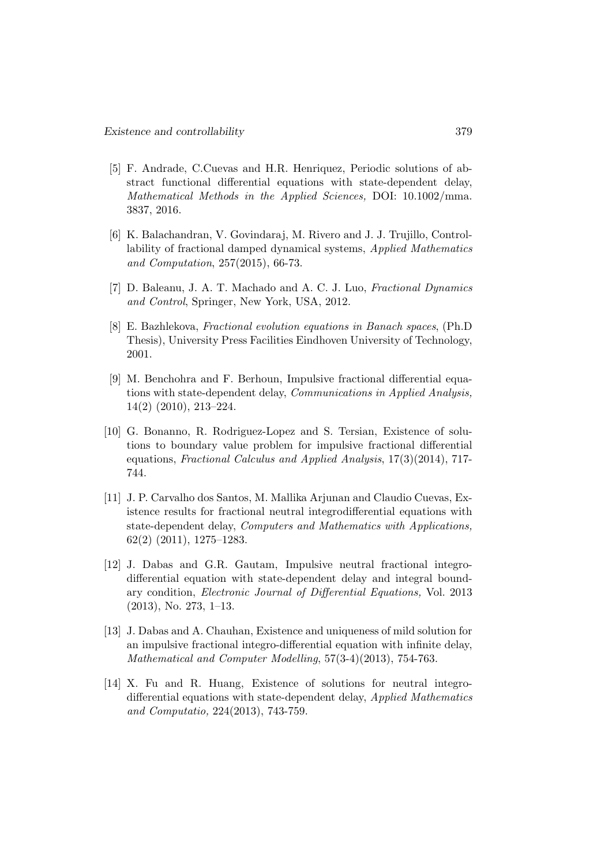- [5] F. Andrade, C.Cuevas and H.R. Henriquez, Periodic solutions of abstract functional differential equations with state-dependent delay, Mathematical Methods in the Applied Sciences, DOI: 10.1002/mma. 3837, 2016.
- [6] K. Balachandran, V. Govindaraj, M. Rivero and J. J. Trujillo, Controllability of fractional damped dynamical systems, Applied Mathematics and Computation, 257(2015), 66-73.
- [7] D. Baleanu, J. A. T. Machado and A. C. J. Luo, Fractional Dynamics and Control, Springer, New York, USA, 2012.
- [8] E. Bazhlekova, Fractional evolution equations in Banach spaces, (Ph.D Thesis), University Press Facilities Eindhoven University of Technology, 2001.
- [9] M. Benchohra and F. Berhoun, Impulsive fractional differential equations with state-dependent delay, Communications in Applied Analysis, 14(2) (2010), 213–224.
- [10] G. Bonanno, R. Rodriguez-Lopez and S. Tersian, Existence of solutions to boundary value problem for impulsive fractional differential equations, Fractional Calculus and Applied Analysis, 17(3)(2014), 717- 744.
- [11] J. P. Carvalho dos Santos, M. Mallika Arjunan and Claudio Cuevas, Existence results for fractional neutral integrodifferential equations with state-dependent delay, Computers and Mathematics with Applications, 62(2) (2011), 1275–1283.
- [12] J. Dabas and G.R. Gautam, Impulsive neutral fractional integrodifferential equation with state-dependent delay and integral boundary condition, Electronic Journal of Differential Equations, Vol. 2013 (2013), No. 273, 1–13.
- [13] J. Dabas and A. Chauhan, Existence and uniqueness of mild solution for an impulsive fractional integro-differential equation with infinite delay, Mathematical and Computer Modelling, 57(3-4)(2013), 754-763.
- [14] X. Fu and R. Huang, Existence of solutions for neutral integrodifferential equations with state-dependent delay, Applied Mathematics and Computatio, 224(2013), 743-759.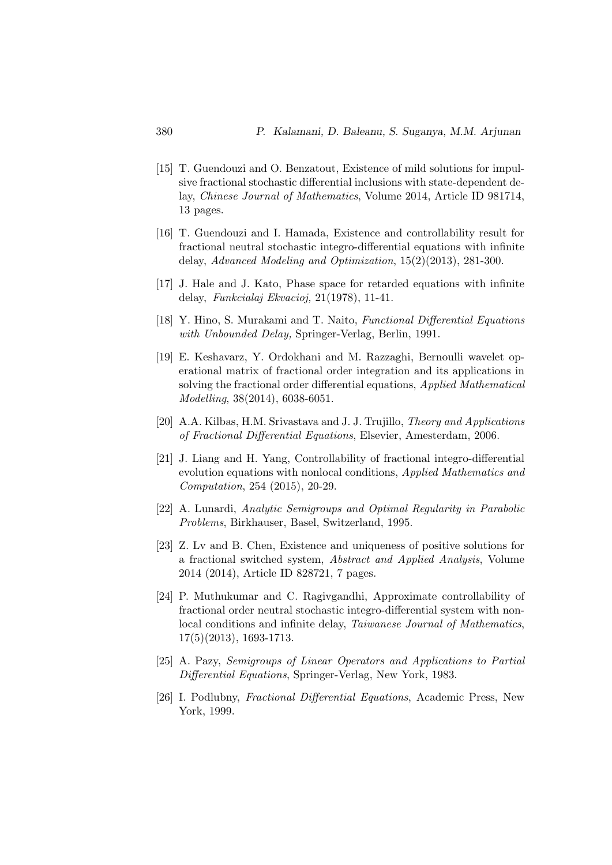- [15] T. Guendouzi and O. Benzatout, Existence of mild solutions for impulsive fractional stochastic differential inclusions with state-dependent delay, Chinese Journal of Mathematics, Volume 2014, Article ID 981714, 13 pages.
- [16] T. Guendouzi and I. Hamada, Existence and controllability result for fractional neutral stochastic integro-differential equations with infinite delay, Advanced Modeling and Optimization, 15(2)(2013), 281-300.
- [17] J. Hale and J. Kato, Phase space for retarded equations with infinite delay, Funkcialaj Ekvacioj, 21(1978), 11-41.
- [18] Y. Hino, S. Murakami and T. Naito, Functional Differential Equations with Unbounded Delay, Springer-Verlag, Berlin, 1991.
- [19] E. Keshavarz, Y. Ordokhani and M. Razzaghi, Bernoulli wavelet operational matrix of fractional order integration and its applications in solving the fractional order differential equations, Applied Mathematical Modelling, 38(2014), 6038-6051.
- [20] A.A. Kilbas, H.M. Srivastava and J. J. Trujillo, Theory and Applications of Fractional Differential Equations, Elsevier, Amesterdam, 2006.
- [21] J. Liang and H. Yang, Controllability of fractional integro-differential evolution equations with nonlocal conditions, Applied Mathematics and Computation, 254 (2015), 20-29.
- [22] A. Lunardi, Analytic Semigroups and Optimal Regularity in Parabolic Problems, Birkhauser, Basel, Switzerland, 1995.
- [23] Z. Lv and B. Chen, Existence and uniqueness of positive solutions for a fractional switched system, Abstract and Applied Analysis, Volume 2014 (2014), Article ID 828721, 7 pages.
- [24] P. Muthukumar and C. Ragivgandhi, Approximate controllability of fractional order neutral stochastic integro-differential system with nonlocal conditions and infinite delay, Taiwanese Journal of Mathematics, 17(5)(2013), 1693-1713.
- [25] A. Pazy, Semigroups of Linear Operators and Applications to Partial Differential Equations, Springer-Verlag, New York, 1983.
- [26] I. Podlubny, Fractional Differential Equations, Academic Press, New York, 1999.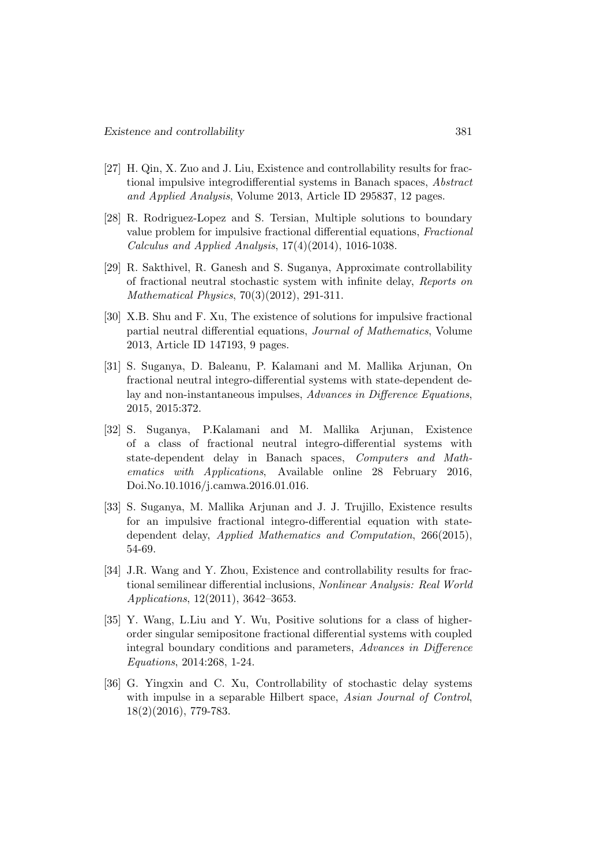- [27] H. Qin, X. Zuo and J. Liu, Existence and controllability results for fractional impulsive integrodifferential systems in Banach spaces, Abstract and Applied Analysis, Volume 2013, Article ID 295837, 12 pages.
- [28] R. Rodriguez-Lopez and S. Tersian, Multiple solutions to boundary value problem for impulsive fractional differential equations, Fractional Calculus and Applied Analysis, 17(4)(2014), 1016-1038.
- [29] R. Sakthivel, R. Ganesh and S. Suganya, Approximate controllability of fractional neutral stochastic system with infinite delay, Reports on Mathematical Physics, 70(3)(2012), 291-311.
- [30] X.B. Shu and F. Xu, The existence of solutions for impulsive fractional partial neutral differential equations, Journal of Mathematics, Volume 2013, Article ID 147193, 9 pages.
- [31] S. Suganya, D. Baleanu, P. Kalamani and M. Mallika Arjunan, On fractional neutral integro-differential systems with state-dependent delay and non-instantaneous impulses, Advances in Difference Equations, 2015, 2015:372.
- [32] S. Suganya, P.Kalamani and M. Mallika Arjunan, Existence of a class of fractional neutral integro-differential systems with state-dependent delay in Banach spaces, Computers and Mathematics with Applications, Available online 28 February 2016, Doi.No.10.1016/j.camwa.2016.01.016.
- [33] S. Suganya, M. Mallika Arjunan and J. J. Trujillo, Existence results for an impulsive fractional integro-differential equation with statedependent delay, Applied Mathematics and Computation, 266(2015), 54-69.
- [34] J.R. Wang and Y. Zhou, Existence and controllability results for fractional semilinear differential inclusions, Nonlinear Analysis: Real World Applications, 12(2011), 3642–3653.
- [35] Y. Wang, L.Liu and Y. Wu, Positive solutions for a class of higherorder singular semipositone fractional differential systems with coupled integral boundary conditions and parameters, Advances in Difference Equations, 2014:268, 1-24.
- [36] G. Yingxin and C. Xu, Controllability of stochastic delay systems with impulse in a separable Hilbert space, Asian Journal of Control, 18(2)(2016), 779-783.